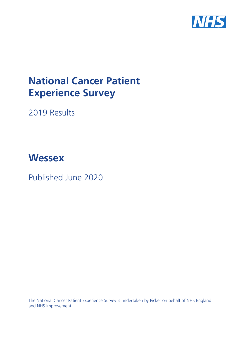

# **National Cancer Patient Experience Survey**

2019 Results

# **Wessex**

Published June 2020

The National Cancer Patient Experience Survey is undertaken by Picker on behalf of NHS England and NHS Improvement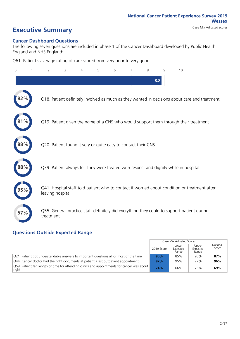## **Executive Summary** Case Mix Adjusted scores

### **Cancer Dashboard Questions**

The following seven questions are included in phase 1 of the Cancer Dashboard developed by Public Health England and NHS England:

Q61. Patient's average rating of care scored from very poor to very good

| $\overline{0}$ | $\overline{2}$   | 3                                                             | $\overline{4}$ | 5 | 6 | 7 | 8   | $\mathsf{Q}$ | 10                                                                                            |
|----------------|------------------|---------------------------------------------------------------|----------------|---|---|---|-----|--------------|-----------------------------------------------------------------------------------------------|
|                |                  |                                                               |                |   |   |   | 8.8 |              |                                                                                               |
|                |                  |                                                               |                |   |   |   |     |              | Q18. Patient definitely involved as much as they wanted in decisions about care and treatment |
|                |                  |                                                               |                |   |   |   |     |              | Q19. Patient given the name of a CNS who would support them through their treatment           |
| $\bf 88\%$     |                  | Q20. Patient found it very or quite easy to contact their CNS |                |   |   |   |     |              |                                                                                               |
| 88%            |                  |                                                               |                |   |   |   |     |              | Q39. Patient always felt they were treated with respect and dignity while in hospital         |
|                | leaving hospital |                                                               |                |   |   |   |     |              | Q41. Hospital staff told patient who to contact if worried about condition or treatment after |
| 57%            | treatment        |                                                               |                |   |   |   |     |              | Q55. General practice staff definitely did everything they could to support patient during    |
|                |                  |                                                               |                |   |   |   |     |              |                                                                                               |

### **Questions Outside Expected Range**

|                                                                                                                 |            | Case Mix Adjusted Scores   |                            |                   |
|-----------------------------------------------------------------------------------------------------------------|------------|----------------------------|----------------------------|-------------------|
|                                                                                                                 | 2019 Score | Lower<br>Expected<br>Range | Upper<br>Expected<br>Range | National<br>Score |
| $\sqrt{Q}$ 21. Patient got understandable answers to important questions all or most of the time                | 90%        | 85%                        | 90%                        | 87%               |
| Q44. Cancer doctor had the right documents at patient's last outpatient appointment                             | 97%        | 95%                        | 97%                        | 96%               |
| $\sqrt{Q59}$ . Patient felt length of time for attending clinics and appointments for cancer was about<br>right | 74%        | 66%                        | 73%                        | 69%               |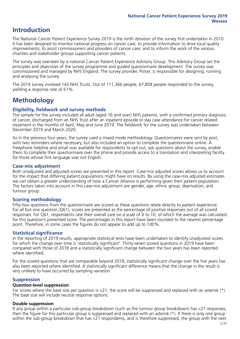### **Introduction**

The National Cancer Patient Experience Survey 2019 is the ninth iteration of the survey first undertaken in 2010. It has been designed to monitor national progress on cancer care; to provide information to drive local quality improvements; to assist commissioners and providers of cancer care; and to inform the work of the various charities and stakeholder groups supporting cancer patients.

The survey was overseen by a national Cancer Patient Experience Advisory Group. This Advisory Group set the principles and objectives of the survey programme and guided questionnaire development. The survey was commissioned and managed by NHS England. The survey provider, Picker, is responsible for designing, running and analysing the survey.

The 2019 survey involved 143 NHS Trusts. Out of 111,366 people, 67,858 people responded to the survey, yielding a response rate of 61%.

### **Methodology**

### **Eligibility, fieldwork and survey methods**

The sample for the survey included all adult (aged 16 and over) NHS patients, with a confirmed primary diagnosis of cancer, discharged from an NHS Trust after an inpatient episode or day case attendance for cancer related treatment in the months of April, May and June 2019. The fieldwork for the survey was undertaken between December 2019 and March 2020.

As in the previous four years, the survey used a mixed mode methodology. Questionnaires were sent by post, with two reminders where necessary, but also included an option to complete the questionnaire online. A Freephone helpline and email was available for respondents to opt out, ask questions about the survey, enable them to complete their questionnaire over the phone and provide access to a translation and interpreting facility for those whose first language was not English.

### **Case-mix adjustment**

Both unadjusted and adjusted scores are presented in this report. Case-mix adjusted scores allows us to account for the impact that differing patient populations might have on results. By using the case-mix adjusted estimates we can obtain a greater understanding of how a Cancer Alliance is performing given their patient population. The factors taken into account in this case-mix adjustment are gender, age, ethnic group, deprivation, and tumour group.

### **Scoring methodology**

Fifty-two questions from the questionnaire are scored as these questions relate directly to patient experience. For all but one question (Q61), scores are presented as the percentage of positive responses out of all scored responses. For Q61, respondents rate their overall care on a scale of 0 to 10, of which the average was calculated for this question's presented score. The percentages in this report have been rounded to the nearest percentage point. Therefore, in some cases the figures do not appear to add up to 100%.

### **Statistical significance**

In the reporting of 2019 results, appropriate statistical tests have been undertaken to identify unadjusted scores for which the change over time is 'statistically significant'. Thirty-seven scored questions in 2019 have been compared with those of 2018 and a statistically significant change between the two years has been reported where identified.

For the scored questions that are comparable beyond 2018, statistically significant change over the five years has also been reported where identified. A statistically significant difference means that the change in the result is very unlikely to have occurred by sampling variation.

### **Suppression**

### **Question-level suppression**

For scores where the base size per question is  $<$ 21, the score will be suppressed and replaced with an asterisk (\*). The base size will include neutral response options.

### **Double suppression**

If any group within a particular sub-group breakdown (such as the tumour group breakdown) has <21 responses, then the figure for this particular group is suppressed and replaced with an asterisk (\*). If there is only one group within the sub-group breakdown that has <21 respondents, and is therefore suppressed, the group with the next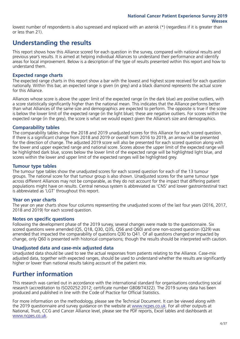lowest number of respondents is also supressed and replaced with an asterisk (\*) (regardless if it is greater than or less than 21).

### **Understanding the results**

This report shows how this Alliance scored for each question in the survey, compared with national results and previous year's results. It is aimed at helping individual Alliances to understand their performance and identify areas for local improvement. Below is a description of the type of results presented within this report and how to understand them.

### **Expected range charts**

The expected range charts in this report show a bar with the lowest and highest score received for each question nationally. Within this bar, an expected range is given (in grey) and a black diamond represents the actual score for this Alliance.

Alliances whose score is above the upper limit of the expected range (in the dark blue) are positive outliers, with a score statistically significantly higher than the national mean. This indicates that the Alliance performs better than what Alliances of the same size and demographics are expected to perform. The opposite is true if the score is below the lower limit of the expected range (in the light blue); these are negative outliers. For scores within the expected range (in the grey), the score is what we would expect given the Alliance's size and demographics.

### **Comparability tables**

The comparability tables show the 2018 and 2019 unadjusted scores for this Alliance for each scored question. If there is a significant change from 2018 and 2019 or overall from 2016 to 2019, an arrow will be presented for the direction of change. The adjusted 2019 score will also be presented for each scored question along with the lower and upper expected range and national score. Scores above the upper limit of the expected range will be highlighted dark blue, scores below the lower limit of the expected range will be highlighted light blue, and scores within the lower and upper limit of the expected ranges will be highlighted grey.

### **Tumour type tables**

The tumour type tables show the unadjusted scores for each scored question for each of the 13 tumour groups. The national score for that tumour group is also shown. Unadjusted scores for the same tumour type across different Alliances may not be comparable, as they do not account for the impact that differing patient populations might have on results. Central nervous system is abbreviated as 'CNS' and lower gastrointestinal tract is abbreviated as 'LGT' throughout this report.

### **Year on year charts**

The year on year charts show four columns representing the unadjusted scores of the last four years (2016, 2017, 2018 and 2019) for each scored question.

### **Notes on specific questions**

Following the development phase of the 2019 survey, several changes were made to the questionnaire. Six scored questions were amended (Q5, Q18, Q30, Q35, Q56 and Q60) and one non-scored question (Q29) was amended that impacted the comparability of questions Q30 to Q41. Of all questions changed or impacted by change, only Q60 is presented with historical comparisons; though the results should be interpreted with caution.

### **Unadjusted data and case-mix adjusted data**

Unadjusted data should be used to see the actual responses from patients relating to the Alliance. Case-mix adjusted data, together with expected ranges, should be used to understand whether the results are significantly higher or lower than national results taking account of the patient mix.

### **Further information**

This research was carried out in accordance with the international standard for organisations conducting social research (accreditation to ISO20252:2012; certificate number GB08/74322). The 2019 survey data has been produced and published in line with the Code of Practice for Official Statistics.

For more information on the methodology, please see the Technical Document. It can be viewed along with the 2019 questionnaire and survey guidance on the website at [www.ncpes.co.uk](https://www.ncpes.co.uk/supporting-documents). For all other outputs at National, Trust, CCG and Cancer Alliance level, please see the PDF reports, Excel tables and dashboards at [www.ncpes.co.uk.](https://www.ncpes.co.uk/current-results)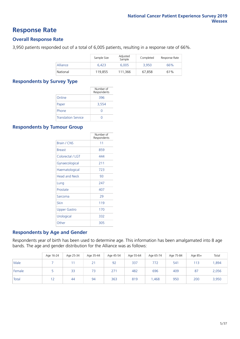### **Response Rate**

### **Overall Response Rate**

3,950 patients responded out of a total of 6,005 patients, resulting in a response rate of 66%.

|          | Sample Size | Adjusted<br>Sample | Completed | Response Rate |
|----------|-------------|--------------------|-----------|---------------|
| Alliance | 6.423       | 6.005              | 3.950     | 66%           |
| National | 119,855     | 111.366            | 67.858    | 61%           |

### **Respondents by Survey Type**

|                            | Number of<br>Respondents |
|----------------------------|--------------------------|
| Online                     | 396                      |
| Paper                      | 3,554                    |
| Phone                      | Ω                        |
| <b>Translation Service</b> |                          |

### **Respondents by Tumour Group**

|                      | Number of<br>Respondents |
|----------------------|--------------------------|
| Brain / CNS          | 11                       |
| <b>Breast</b>        | 859                      |
| Colorectal / LGT     | 444                      |
| Gynaecological       | 211                      |
| Haematological       | 723                      |
| <b>Head and Neck</b> | 93                       |
| Lung                 | 247                      |
| Prostate             | 407                      |
| Sarcoma              | 29                       |
| Skin                 | 119                      |
| Upper Gastro         | 170                      |
| Urological           | 332                      |
| Other                | 305                      |

### **Respondents by Age and Gender**

Respondents year of birth has been used to determine age. This information has been amalgamated into 8 age bands. The age and gender distribution for the Alliance was as follows:

|        | Age 16-24 | Age 25-34 | Age 35-44 | Age 45-54 | Age 55-64 | Age 65-74 | Age 75-84 | Age 85+ | Total |
|--------|-----------|-----------|-----------|-----------|-----------|-----------|-----------|---------|-------|
| Male   |           |           | 21        | 92        | 337       | 772       | 541       | 113     | ,894  |
| Female |           | 33        | 73        | 271       | 482       | 696       | 409       | 87      | 2,056 |
| Total  |           | 44        | 94        | 363       | 819       | A68,      | 950       | 200     | 3,950 |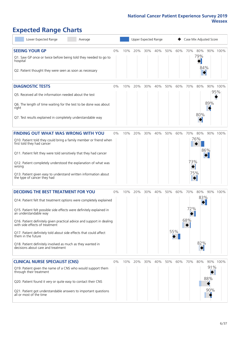## **Expected Range Charts**

| Lower Expected Range                                                                                    | Average |       |     | Upper Expected Range |     |     |     | Case Mix Adjusted Score |     |     |          |          |  |
|---------------------------------------------------------------------------------------------------------|---------|-------|-----|----------------------|-----|-----|-----|-------------------------|-----|-----|----------|----------|--|
| <b>SEEING YOUR GP</b>                                                                                   |         | 0%    | 10% | 20%                  | 30% | 40% | 50% | 60%                     | 70% | 80% |          | 90% 100% |  |
| Q1. Saw GP once or twice before being told they needed to go to<br>hospital                             |         |       |     |                      |     |     |     |                         |     | 79% |          |          |  |
| Q2. Patient thought they were seen as soon as necessary                                                 |         |       |     |                      |     |     |     |                         |     | 84% |          |          |  |
| <b>DIAGNOSTIC TESTS</b>                                                                                 |         | $0\%$ | 10% | 20%                  | 30% | 40% | 50% | 60%                     | 70% | 80% |          | 90% 100% |  |
| Q5. Received all the information needed about the test                                                  |         |       |     |                      |     |     |     |                         |     |     |          | 95%      |  |
| Q6. The length of time waiting for the test to be done was about<br>right                               |         |       |     |                      |     |     |     |                         |     |     | 89%      |          |  |
| Q7. Test results explained in completely understandable way                                             |         |       |     |                      |     |     |     |                         |     | 80% |          |          |  |
| <b>FINDING OUT WHAT WAS WRONG WITH YOU</b>                                                              |         | 0%    | 10% | 20%                  | 30% | 40% | 50% | 60%                     | 70% | 80% |          | 90% 100% |  |
| Q10. Patient told they could bring a family member or friend when<br>first told they had cancer         |         |       |     |                      |     |     |     |                         |     | 76% |          |          |  |
| Q11. Patient felt they were told sensitively that they had cancer                                       |         |       |     |                      |     |     |     |                         |     |     | 86%      |          |  |
| Q12. Patient completely understood the explanation of what was<br>wrong                                 |         |       |     |                      |     |     |     |                         | 73% |     |          |          |  |
| Q13. Patient given easy to understand written information about<br>the type of cancer they had          |         |       |     |                      |     |     |     |                         | 75% |     |          |          |  |
| <b>DECIDING THE BEST TREATMENT FOR YOU</b>                                                              |         | $0\%$ | 10% | 20%                  | 30% | 40% | 50% | 60%                     | 70% | 80% | 90% 100% |          |  |
| Q14. Patient felt that treatment options were completely explained                                      |         |       |     |                      |     |     |     |                         |     | 83% |          |          |  |
| Q15. Patient felt possible side effects were definitely explained in<br>an understandable way           |         |       |     |                      |     |     |     |                         | 72% |     |          |          |  |
| Q16. Patient definitely given practical advice and support in dealing<br>with side effects of treatment |         |       |     |                      |     |     |     |                         | 68% |     |          |          |  |
| Q17. Patient definitely told about side effects that could affect<br>them in the future                 |         |       |     |                      |     |     |     | 55%                     |     |     |          |          |  |
| Q18. Patient definitely involved as much as they wanted in<br>decisions about care and treatment        |         |       |     |                      |     |     |     |                         |     | 82% |          |          |  |
| <b>CLINICAL NURSE SPECIALIST (CNS)</b>                                                                  |         | $0\%$ | 10% | 20%                  | 30% | 40% | 50% | 60%                     | 70% | 80% |          | 90% 100% |  |
| Q19. Patient given the name of a CNS who would support them<br>through their treatment                  |         |       |     |                      |     |     |     |                         |     |     | 91%      |          |  |
| Q20. Patient found it very or quite easy to contact their CNS                                           |         |       |     |                      |     |     |     |                         |     |     | 88%      |          |  |
| Q21. Patient got understandable answers to important questions<br>all or most of the time               |         |       |     |                      |     |     |     |                         |     |     | 90%      |          |  |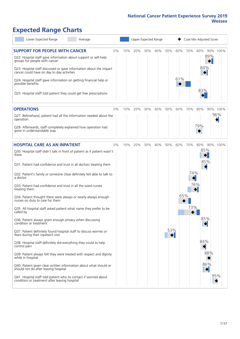## **Expected Range Charts**

| Lower Expected Range<br>Average                                                                                                                                                                                                                                                                                                                                                                                                                                                                                                                                                                                  |       |     |     |     | Upper Expected Range |                        |            |                   | Case Mix Adjusted Score                          |            |                 |
|------------------------------------------------------------------------------------------------------------------------------------------------------------------------------------------------------------------------------------------------------------------------------------------------------------------------------------------------------------------------------------------------------------------------------------------------------------------------------------------------------------------------------------------------------------------------------------------------------------------|-------|-----|-----|-----|----------------------|------------------------|------------|-------------------|--------------------------------------------------|------------|-----------------|
| <b>SUPPORT FOR PEOPLE WITH CANCER</b><br>Q22. Hospital staff gave information about support or self-help<br>groups for people with cancer<br>Q23. Hospital staff discussed or gave information about the impact<br>cancer could have on day to day activities<br>Q24. Hospital staff gave information on getting financial help or<br>possible benefits<br>Q25. Hospital staff told patient they could get free prescriptions                                                                                                                                                                                    | 0%    | 10% | 20% | 30% | 40%                  | 50%                    | 60%<br>61% | 70%               | 80%<br>84%<br>83%                                | 89%        | 90% 100%        |
| <b>OPERATIONS</b><br>Q27. Beforehand, patient had all the information needed about the<br>operation<br>Q28. Afterwards, staff completely explained how operation had<br>gone in understandable way                                                                                                                                                                                                                                                                                                                                                                                                               | $0\%$ | 10% | 20% | 30% | 40%                  | 50%                    | 60%        | 70%               | 80%<br>79%                                       |            | 90% 100%<br>96% |
| <b>HOSPITAL CARE AS AN INPATIENT</b><br>Q30. Hospital staff didn't talk in front of patient as if patient wasn't<br>there<br>Q31. Patient had confidence and trust in all doctors treating them<br>Q32. Patient's family or someone close definitely felt able to talk to<br>a doctor<br>Q33. Patient had confidence and trust in all the ward nurses<br>treating them<br>Q34. Patient thought there were always or nearly always enough<br>nurses on duty to care for them<br>Q35. All hospital staff asked patient what name they prefer to be<br>called by                                                    | 0%    | 10% | 20% | 30% | 40%                  | 50%                    | 60%<br>65% | 70%<br>74%<br>73% | 80%<br>85%<br>85%<br>76%                         |            | 90% 100%        |
| Q36. Patient always given enough privacy when discussing<br>condition or treatment<br>Q37. Patient definitely found hospital staff to discuss worries or<br>fears during their inpatient visit<br>Q38. Hospital staff definitely did everything they could to help<br>control pain<br>Q39. Patient always felt they were treated with respect and dignity<br>while in hospital<br>Q40. Patient given clear written information about what should or<br>should not do after leaving hospital<br>Q41. Hospital staff told patient who to contact if worried about<br>condition or treatment after leaving hospital |       |     |     |     |                      | 53%<br>$\blacklozenge$ |            |                   | 85%<br>$\blacklozenge$<br>84%<br>$\blacklozenge$ | 88%<br>86% | 95%             |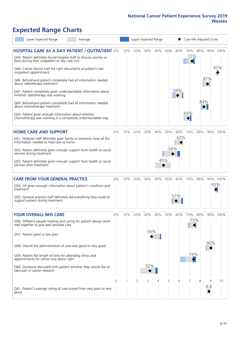## **Expected Range Charts**

| Lower Expected Range<br>Average                                                                                                                                                                                                                                                                                                                                           |       |     |     |            | Upper Expected Range |                   |            | Case Mix Adjusted Score |         |     |                 |
|---------------------------------------------------------------------------------------------------------------------------------------------------------------------------------------------------------------------------------------------------------------------------------------------------------------------------------------------------------------------------|-------|-----|-----|------------|----------------------|-------------------|------------|-------------------------|---------|-----|-----------------|
| <b>HOSPITAL CARE AS A DAY PATIENT / OUTPATIENT 0%</b><br>Q43. Patient definitely found hospital staff to discuss worries or<br>fears during their outpatient or day case visit<br>Q44. Cancer doctor had the right documents at patient's last<br>outpatient appointment<br>Q46. Beforehand patient completely had all information needed<br>about radiotherapy treatment |       | 10% | 20% | 30%        | 40%                  | 50%               | 60%        | 72%                     | 70% 80% | 87% | 90% 100%<br>97% |
| Q47. Patient completely given understandable information about<br>whether radiotherapy was working<br>Q49. Beforehand patient completely had all information needed<br>about chemotherapy treatment<br>Q50. Patient given enough information about whether                                                                                                                |       |     |     |            |                      |                   | 59%        | 69%                     | 84%     |     |                 |
| chemotherapy was working in a completely understandable way                                                                                                                                                                                                                                                                                                               |       |     |     |            |                      |                   |            |                         |         |     |                 |
| <b>HOME CARE AND SUPPORT</b><br>Q51. Hospital staff definitely gave family or someone close all the<br>information needed to help care at home<br>Q52. Patient definitely given enough support from health or social<br>services during treatment<br>Q53. Patient definitely given enough support from health or social<br>services after treatment                       | 0%    | 10% | 20% | 30%        | 40%                  | 50%<br>54%<br>45% | 60%<br>62% | 70%                     | 80%     |     | 90% 100%        |
| <b>CARE FROM YOUR GENERAL PRACTICE</b><br>Q54. GP given enough information about patient's condition and<br>treatment                                                                                                                                                                                                                                                     | $0\%$ | 10% | 20% | 30%        | 40%                  | 50%               | 60%        | 70%                     | 80%     | 95% | 90% 100%        |
| Q55. General practice staff definitely did everything they could to<br>support patient during treatment                                                                                                                                                                                                                                                                   |       |     |     |            |                      |                   | 57%        |                         |         |     |                 |
| <b>YOUR OVERALL NHS CARE</b><br>Q56. Different people treating and caring for patient always work<br>well together to give best possible care<br>Q57. Patient given a care plan                                                                                                                                                                                           | $0\%$ | 10% | 20% | 30%<br>34% | 40%                  | 50%               | 60%        | 70%<br>75%              | 80%     |     | 90% 100%        |
| Q58. Overall the administration of care was good or very good                                                                                                                                                                                                                                                                                                             |       |     |     |            |                      |                   |            |                         |         | 90% |                 |
| Q59. Patient felt length of time for attending clinics and<br>appointments for cancer was about right<br>Q60. Someone discussed with patient whether they would like to<br>take part in cancer research                                                                                                                                                                   |       |     |     | 32%        |                      |                   |            | 74%                     |         |     |                 |
|                                                                                                                                                                                                                                                                                                                                                                           | 0     |     | 2   | 3          | 4                    | 5                 | 6          |                         | 8       | 9   | 10              |
| Q61. Patient's average rating of care scored from very poor to very<br>good                                                                                                                                                                                                                                                                                               |       |     |     |            |                      |                   |            |                         |         | 8.8 |                 |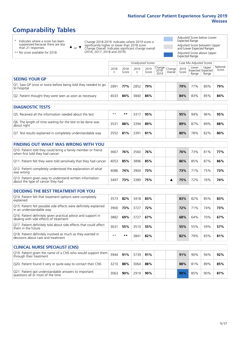## **Comparability Tables**

\* Indicates where a score has been suppressed because there are less than 21 responses.

\*\* No score available for 2018.

 $\triangle$  or  $\nabla$ 

Change 2018-2019: Indicates where 2019 score is significantly higher or lower than 2018 score Change Overall: Indicates significant change overall (2016, 2017, 2018 and 2019).

Adjusted Score below Lower Expected Range Adjusted Score between Upper and Lower Expected Ranges

Adjusted Score above Upper Expected Range

|                                                                             | Case Mix Adjusted Scores<br>Unadjusted Scores |               |           |               |                                                   |         |               |                |                                     |                   |
|-----------------------------------------------------------------------------|-----------------------------------------------|---------------|-----------|---------------|---------------------------------------------------|---------|---------------|----------------|-------------------------------------|-------------------|
|                                                                             | 2018<br>n                                     | 2018<br>Score | 2019<br>n | 2019<br>Score | $\sim$  Change   Change   $\sim$<br>2018-<br>2019 | Overall | 2019<br>Score | Lower<br>Range | Upper<br>Expected Expected<br>Range | National<br>Score |
| <b>SEEING YOUR GP</b>                                                       |                                               |               |           |               |                                                   |         |               |                |                                     |                   |
| Q1. Saw GP once or twice before being told they needed to go<br>to hospital | 2891                                          | 77%           | 2852      | 79%           |                                                   |         | 79%           | 77%            | 80%                                 | 79%               |
| Q2. Patient thought they were seen as soon as necessary                     | 4033                                          | 84%           | 3840      | 84%           |                                                   |         | 84%           | 83%            | 85%                                 | 84%               |

| <b>DIAGNOSTIC TESTS</b>                                                   |      |     |      |     |  |     |     |     |     |
|---------------------------------------------------------------------------|------|-----|------|-----|--|-----|-----|-----|-----|
| Q5. Received all the information needed about the test                    | $**$ | **  | 3317 | 95% |  | 95% | 94% | 96% | 95% |
| Q6. The length of time waiting for the test to be done was<br>about right | 3531 | 88% | 3394 | 89% |  | 89% | 87% | 89% | 88% |
| Q7. Test results explained in completely understandable way               | 3552 | 81% | 3391 | 81% |  | 80% | 78% | 82% | 80% |

| <b>FINDING OUT WHAT WAS WRONG WITH YOU</b>                                                      |      |     |      |     |  |     |     |     |     |
|-------------------------------------------------------------------------------------------------|------|-----|------|-----|--|-----|-----|-----|-----|
| Q10. Patient told they could bring a family member or friend<br>when first told they had cancer | 3667 | 76% | 3560 | 76% |  | 76% | 73% | 81% | 77% |
| Q11. Patient felt they were told sensitively that they had cancer                               | 4053 | 85% | 3896 | 85% |  | 86% | 85% | 87% | 86% |
| Q12. Patient completely understood the explanation of what<br>was wrong                         | 4086 | 74% | 3904 | 73% |  | 73% | 71% | 75% | 73% |
| Q13. Patient given easy to understand written information<br>about the type of cancer they had  | 3497 | 73% | 3389 | 75% |  | 75% | 72% | 76% | 74% |

| <b>DECIDING THE BEST TREATMENT FOR YOU</b>                                                              |      |     |      |     |     |     |     |     |
|---------------------------------------------------------------------------------------------------------|------|-----|------|-----|-----|-----|-----|-----|
| Q14. Patient felt that treatment options were completely<br>explained                                   | 3573 | 82% | 3418 | 83% | 83% | 82% | 85% | 83% |
| Q15. Patient felt possible side effects were definitely explained<br>in an understandable way           | 3900 | 73% | 3727 | 72% | 72% | 71% | 74% | 73% |
| Q16. Patient definitely given practical advice and support in<br>dealing with side effects of treatment | 3882 | 69% | 3727 | 67% | 68% | 64% | 70% | 67% |
| Q17. Patient definitely told about side effects that could affect<br>I them in the future               | 3631 | 55% | 3510 | 55% | 55% | 55% | 59% | 57% |
| Q18. Patient definitely involved as much as they wanted in<br>decisions about care and treatment        | $**$ | **  | 3841 | 82% | 82% | 79% | 83% | 81% |

| <b>CLINICAL NURSE SPECIALIST (CNS)</b>                                                    |      |     |      |     |  |     |     |     |     |
|-------------------------------------------------------------------------------------------|------|-----|------|-----|--|-----|-----|-----|-----|
| [Q19. Patient given the name of a CNS who would support them<br>through their treatment   | 3944 | 91% | 3739 | 91% |  | 91% | 90% | 94% | 92% |
| Q20. Patient found it very or quite easy to contact their CNS                             | 3210 | 88% | 3064 | 88% |  | 88% | 81% | 89% | 85% |
| Q21. Patient got understandable answers to important<br>questions all or most of the time | 3063 | 90% | 2919 | 90% |  | 90% | 85% | 90% | 87% |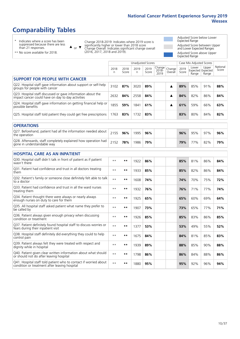## **Comparability Tables**

\* Indicates where a score has been suppressed because there are less than 21 responses.

\*\* No score available for 2018.

 $\triangle$  or  $\nabla$ 

Change 2018-2019: Indicates where 2019 score is significantly higher or lower than 2018 score Change Overall: Indicates significant change overall (2016, 2017, 2018 and 2019).

Adjusted Score below Lower Expected Range Adjusted Score between Upper and Lower Expected Ranges Adjusted Score above Upper

Expected Range

|                                                                                                                   |              |               | <b>Unadjusted Scores</b> |               |                            |                   |               | Case Mix Adjusted Scores |                                     |                   |
|-------------------------------------------------------------------------------------------------------------------|--------------|---------------|--------------------------|---------------|----------------------------|-------------------|---------------|--------------------------|-------------------------------------|-------------------|
|                                                                                                                   | 2018<br>n    | 2018<br>Score | 2019<br>n                | 2019<br>Score | Change<br>$2018 -$<br>2019 | Change<br>Overall | 2019<br>Score | Lower<br>Range           | Upper<br>Expected Expected<br>Range | National<br>Score |
| <b>SUPPORT FOR PEOPLE WITH CANCER</b>                                                                             |              |               |                          |               |                            |                   |               |                          |                                     |                   |
| Q22. Hospital staff gave information about support or self-help<br>groups for people with cancer                  | 3102         | 87%           | 3020                     | 89%           |                            | ▲                 | 89%           | 85%                      | 91%                                 | 88%               |
| Q23. Hospital staff discussed or gave information about the<br>impact cancer could have on day to day activities  | 2632         | 84%           | 2558                     | 84%           |                            | ▲                 | 84%           | 82%                      | 86%                                 | 84%               |
| Q24. Hospital staff gave information on getting financial help or<br>possible benefits                            | 1855         | 59%           | 1841                     | 61%           |                            | ▲                 | 61%           | 59%                      | 66%                                 | 63%               |
| Q25. Hospital staff told patient they could get free prescriptions                                                | 1763         | 83%           | 1732                     | 83%           |                            |                   | 83%           | 80%                      | 84%                                 | 82%               |
| <b>OPERATIONS</b>                                                                                                 |              |               |                          |               |                            |                   |               |                          |                                     |                   |
| Q27. Beforehand, patient had all the information needed about<br>the operation                                    | 2155         | 96%           | 1995                     | 96%           |                            |                   | 96%           | 95%                      | 97%                                 | 96%               |
| Q28. Afterwards, staff completely explained how operation had<br>gone in understandable way                       | 2152         | 78%           | 1986                     | 79%           |                            |                   | 79%           | 77%                      | 82%                                 | 79%               |
| <b>HOSPITAL CARE AS AN INPATIENT</b>                                                                              |              |               |                          |               |                            |                   |               |                          |                                     |                   |
| Q30. Hospital staff didn't talk in front of patient as if patient<br>wasn't there                                 | $**$         | **            | 1922                     | 86%           |                            |                   | 85%           | 81%                      | 86%                                 | 84%               |
| Q31. Patient had confidence and trust in all doctors treating<br>them                                             | $* *$        | $***$         | 1933                     | 85%           |                            |                   | 85%           | 82%                      | 86%                                 | 84%               |
| Q32. Patient's family or someone close definitely felt able to talk<br>to a doctor                                | $\star\star$ | **            | 1608                     | 74%           |                            |                   | 74%           | 70%                      | 75%                                 | 72%               |
| O33. Patient had confidence and trust in all the ward nurses<br>treating them                                     | $* *$        | $***$         | 1932                     | 76%           |                            |                   | 76%           | 71%                      | 77%                                 | 74%               |
| Q34. Patient thought there were always or nearly always<br>enough nurses on duty to care for them                 | $***$        | $***$         | 1925                     | 65%           |                            |                   | 65%           | 60%                      | 69%                                 | 64%               |
| Q35. All hospital staff asked patient what name they prefer to<br>be called by                                    | $* *$        | $***$         | 1907                     | 73%           |                            |                   | 73%           | 65%                      | 77%                                 | 71%               |
| Q36. Patient always given enough privacy when discussing<br>condition or treatment                                | $* *$        | $***$         | 1926                     | 85%           |                            |                   | 85%           | 83%                      | 86%                                 | 85%               |
| Q37. Patient definitely found hospital staff to discuss worries or<br>fears during their inpatient visit          | $* *$        | $***$         | 1377                     | 53%           |                            |                   | 53%           | 49%                      | 55%                                 | 52%               |
| Q38. Hospital staff definitely did everything they could to help<br>control pain                                  | $* *$        | $***$         | 1675                     | 84%           |                            |                   | 84%           | 81%                      | 85%                                 | 83%               |
| Q39. Patient always felt they were treated with respect and<br>dignity while in hospital                          | $* *$        | $***$         | 1939                     | 89%           |                            |                   | 88%           | 85%                      | 90%                                 | 88%               |
| Q40. Patient given clear written information about what should<br>or should not do after leaving hospital         | $* *$        | $***$         | 1798                     | 86%           |                            |                   | 86%           | 84%                      | 88%                                 | 86%               |
| Q41. Hospital staff told patient who to contact if worried about<br>condition or treatment after leaving hospital | $**$         | **            | 1880                     | 95%           |                            |                   | 95%           | 92%                      | 96%                                 | 94%               |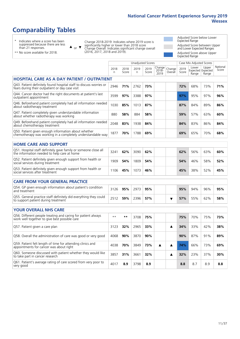## **Comparability Tables**

\* Indicates where a score has been suppressed because there are less than 21 responses.

\*\* No score available for 2018.

or  $\blacktriangledown$  $\blacktriangle$ 

Change 2018-2019: Indicates where 2019 score is significantly higher or lower than 2018 score Change Overall: Indicates significant change overall (2016, 2017, 2018 and 2019).

Adjusted Score below Lower Expected Range Adjusted Score between Upper and Lower Expected Ranges Adjusted Score above Upper

|                                                                                                                       |              |               |                          |               |                         |                   |               | Expected Range           |                                     |                   |
|-----------------------------------------------------------------------------------------------------------------------|--------------|---------------|--------------------------|---------------|-------------------------|-------------------|---------------|--------------------------|-------------------------------------|-------------------|
|                                                                                                                       |              |               | <b>Unadjusted Scores</b> |               |                         |                   |               | Case Mix Adjusted Scores |                                     |                   |
|                                                                                                                       | 2018<br>n.   | 2018<br>Score | 2019<br>n.               | 2019<br>Score | Change<br>2018-<br>2019 | Change<br>Overall | 2019<br>Score | Lower<br>Range           | Upper<br>Expected Expected<br>Range | National<br>Score |
| <b>HOSPITAL CARE AS A DAY PATIENT / OUTPATIENT</b>                                                                    |              |               |                          |               |                         |                   |               |                          |                                     |                   |
| Q43. Patient definitely found hospital staff to discuss worries or<br>fears during their outpatient or day case visit | 2946         | 71%           | 2762                     | 73%           |                         |                   | 72%           | 68%                      | 73%                                 | 71%               |
| Q44. Cancer doctor had the right documents at patient's last<br>outpatient appointment                                | 3599         | 97%           | 3388                     | 97%           |                         |                   | 97%           | 95%                      | 97%                                 | 96%               |
| Q46. Beforehand patient completely had all information needed<br>about radiotherapy treatment                         | 1030         | 85%           | 1013                     | 87%           |                         |                   | 87%           | 84%                      | 89%                                 | 86%               |
| Q47. Patient completely given understandable information<br>about whether radiotherapy was working                    | 880          | 58%           | 884                      | 58%           |                         |                   | 59%           | 57%                      | 63%                                 | 60%               |
| Q49. Beforehand patient completely had all information needed<br>about chemotherapy treatment                         | 2048         | 83%           | 1938                     | 84%           |                         |                   | 84%           | 83%                      | 86%                                 | 84%               |
| Q50. Patient given enough information about whether<br>chemotherapy was working in a completely understandable way    | 1877         | 70%           | 1788                     | 69%           |                         |                   | 69%           | 65%                      | 70%                                 | 68%               |
| <b>HOME CARE AND SUPPORT</b>                                                                                          |              |               |                          |               |                         |                   |               |                          |                                     |                   |
| Q51. Hospital staff definitely gave family or someone close all<br>the information needed to help care at home        | 3241         | 62%           | 3090                     | 62%           |                         |                   | 62%           | 56%                      | 63%                                 | 60%               |
| Q52. Patient definitely given enough support from health or<br>social services during treatment                       | 1909         | 54%           | 1809                     | 54%           |                         |                   | 54%           | 46%                      | 58%                                 | 52%               |
| Q53. Patient definitely given enough support from health or<br>social services after treatment                        | 1106         | 45%           | 1073                     | 46%           |                         |                   | 45%           | 38%                      | 52%                                 | 45%               |
| <b>CARE FROM YOUR GENERAL PRACTICE</b>                                                                                |              |               |                          |               |                         |                   |               |                          |                                     |                   |
| Q54. GP given enough information about patient's condition<br>and treatment                                           | 3126         | 95%           | 2973                     | 95%           |                         |                   | 95%           | 94%                      | 96%                                 | 95%               |
| Q55. General practice staff definitely did everything they could<br>to support patient during treatment               | 2512         | 59%           | 2396                     | 57%           |                         | ▼                 | 57%           | 55%                      | 62%                                 | 58%               |
| <b>YOUR OVERALL NHS CARE</b>                                                                                          |              |               |                          |               |                         |                   |               |                          |                                     |                   |
| Q56. Different people treating and caring for patient always                                                          | $\star\star$ | **            |                          |               |                         |                   |               |                          |                                     | 73%               |
| work well together to give best possible care                                                                         |              |               | 3708                     | 75%           |                         |                   | 75%           | 70%                      | 75%                                 |                   |
| Q57. Patient given a care plan                                                                                        | 3123         | 32%           | 2965                     | 33%           |                         | ▲                 | 34%           | 33%                      | 42%                                 | 38%               |
| Q58. Overall the administration of care was good or very good                                                         | 4068         | 90%           | 3870                     | 90%           |                         |                   | 90%           | 87%                      | 91%                                 | 89%               |
| Q59. Patient felt length of time for attending clinics and<br>appointments for cancer was about right                 | 4038         | 70%           | 3849                     | 73%           | ▲                       | ▲                 | 74%           | 66%                      | 73%                                 | 69%               |
| Q60. Someone discussed with patient whether they would like<br>to take part in cancer research                        | 3857         | 31%           | 3661                     | 32%           |                         | ▲                 | 32%           | 23%                      | 37%                                 | 30%               |
| Q61. Patient's average rating of care scored from very poor to<br>very good                                           | 4017         | 8.9           | 3798                     | 8.9           |                         |                   | 8.8           | 8.7                      | 8.9                                 | 8.8               |
|                                                                                                                       |              |               |                          |               |                         |                   |               |                          |                                     |                   |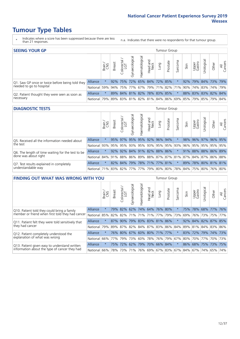- \* Indicates where a score has been suppressed because there are less than 21 responses.
- n.a. Indicates that there were no respondents for that tumour group.

| <b>SEEING YOUR GP</b>                           |                 |              |               |                  |                    |                |                             |      | Tumour Group |         |      |                 |                                                     |       |                |
|-------------------------------------------------|-----------------|--------------|---------------|------------------|--------------------|----------------|-----------------------------|------|--------------|---------|------|-----------------|-----------------------------------------------------|-------|----------------|
|                                                 |                 | Brain<br>CNS | <b>Breast</b> | olorectal<br>LGT | ᠊ᢛ<br>Gynaecologic | Haematological | Head and<br>Neck            | Lung | Prostate     | Sarcoma | Skin | Upper<br>Gastro | $\sigma$<br>Jrologica                               | Other | All<br>Cancers |
| Q1. Saw GP once or twice before being told they | <b>Alliance</b> |              |               | $92\%$ 75%       |                    |                | 72% 65% 84% 72% 85%         |      |              |         |      |                 | 92% 79% 84% 73% 79%                                 |       |                |
| needed to go to hospital                        | National        | 59%          |               |                  |                    |                |                             |      |              |         |      |                 | 94% 75% 77% 67% 79% 71% 82% 71% 90% 74% 83% 74% 79% |       |                |
| Q2. Patient thought they were seen as soon as   | <b>Alliance</b> |              |               |                  |                    |                | 89% 84% 81% 82% 78% 83% 85% |      |              |         |      |                 | 88% 83% 83% 82% 84%                                 |       |                |
| necessary                                       | National        | 79%          |               |                  |                    |                |                             |      |              |         |      |                 | 89% 83% 81% 82% 81% 84% 86% 69% 85% 79% 85% 79% 84% |       |                |

#### **DIAGNOSTIC TESTS** Tumour Group

|                                                   |                                                                  | Brain | <b>Breast</b> | Colorectal<br>LGT       | $\overline{\sigma}$<br>Gynaecologic | Haematological | Head and<br>Neck        | Lung | Prostate | Sarcoma | Skin | Upper<br>Gastro | Irological          | Other | All<br>Cancers |
|---------------------------------------------------|------------------------------------------------------------------|-------|---------------|-------------------------|-------------------------------------|----------------|-------------------------|------|----------|---------|------|-----------------|---------------------|-------|----------------|
| Q5. Received all the information needed about     | Alliance                                                         |       |               | 95% 97% 95% 95% 92% 96% |                                     |                |                         |      | 94%      |         |      |                 | 98% 96% 97% 96% 95% |       |                |
| the test                                          | National                                                         | 93%   | 95%           | 95%                     |                                     |                | 93% 95% 93% 95% 95% 93% |      |          |         | 96%  |                 | 95% 95% 95% 95%     |       |                |
| Q6. The length of time waiting for the test to be | Alliance                                                         |       |               | $92\%$ 92%              |                                     |                | 84% 91% 82% 88% 86%     |      |          |         | 91%  |                 | 88% 88% 86% 89%     |       |                |
| done was about right                              | National 84% 91% 88% 86% 89% 88% 87% 87% 81% 87% 84% 87% 86% 88% |       |               |                         |                                     |                |                         |      |          |         |      |                 |                     |       |                |
| Q7. Test results explained in completely          | Alliance                                                         |       |               | 82% 84%                 |                                     |                | 79% 78% 71% 77% 81%     |      |          | $\star$ | 89%  |                 | 78% 80% 81% 81%     |       |                |
| understandable way                                | National 71% 83% 82% 77% 77% 79% 80% 80% 78% 84% 75% 80% 76% 80% |       |               |                         |                                     |                |                         |      |          |         |      |                 |                     |       |                |

| <b>FINDING OUT WHAT WAS WRONG WITH YOU</b>        |                 |         |               |            |                |                     |                  |      | <b>Tumour Group</b>             |          |      |                 |                     |        |                |
|---------------------------------------------------|-----------------|---------|---------------|------------|----------------|---------------------|------------------|------|---------------------------------|----------|------|-----------------|---------------------|--------|----------------|
|                                                   |                 | Brain   | <b>Breast</b> | Colorectal | Gynaecological | Haematological      | Head and<br>Neck | Lung | Prostate                        | Sarcoma  | Skin | Upper<br>Gastro | Urological          | Other  | All<br>Cancers |
| Q10. Patient told they could bring a family       | <b>Alliance</b> | $\star$ | 79%           | 82%        | 62%            | 74% 64%             |                  | 76%  | 80%                             | $\star$  | 75%  | 78%             | 68%                 | $77\%$ | 76%            |
| member or friend when first told they had cancer  | National        | 85%     | 82%           | 82%        |                | 71% 71% 71%         |                  |      | 77% 79%                         | 73%      | 69%  |                 | 76% 73%             |        | 75% 77%        |
| Q11. Patient felt they were told sensitively that | Alliance        | $\star$ | 87%           | 90%        |                | 79% 83% 83% 81% 86% |                  |      |                                 | $^\star$ |      |                 | 92% 84% 82% 87% 85% |        |                |
| they had cancer                                   | National        | 79%     |               |            |                |                     |                  |      | 89% 87% 82% 84% 87% 83% 86% 84% |          |      |                 | 89% 81% 84% 83% 86% |        |                |
| Q12. Patient completely understood the            | Alliance        | $\star$ | 76%           | 80%        |                | 67% 60% 80% 71% 77% |                  |      |                                 |          | 83%  |                 | 72% 79% 74% 73%     |        |                |
| explanation of what was wrong                     | National        | 66%     | 77%           | 79%        | 73%            |                     |                  |      | 60% 78% 76% 79%                 | 67%      | 80%  |                 | 70% 77%             |        | 70% 73%        |
| Q13. Patient given easy to understand written     | Alliance        | $\star$ | 75%           | 72%        | 62%            | 79% 70% 66% 84%     |                  |      |                                 | $\star$  | 86%  |                 | 68% 75% 73%         |        | 75%            |
| information about the type of cancer they had     | National        | 66%     | 78%           | 73%        |                |                     |                  |      | 71% 76% 69% 67% 83% 67%         |          |      |                 | 84%   67%   74%     | 65%    | 74%            |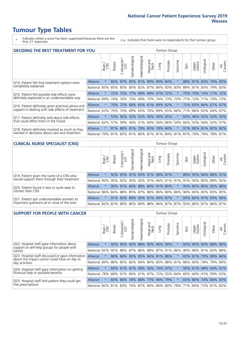- \* Indicates where a score has been suppressed because there are less than 21 responses.
- n.a. Indicates that there were no respondents for that tumour group.

| <b>DECIDING THE BEST TREATMENT FOR YOU</b>         |                 |         |               |                       |                             |                       |                         |      | <b>Tumour Group</b> |              |                                         |                 |                     |             |                |
|----------------------------------------------------|-----------------|---------|---------------|-----------------------|-----------------------------|-----------------------|-------------------------|------|---------------------|--------------|-----------------------------------------|-----------------|---------------------|-------------|----------------|
|                                                    |                 | Brain   | <b>Breast</b> | olorectal<br>LGT<br>Ũ | Gynaecological              | <b>Haematological</b> | ead and<br>Neck<br>Head | Lung | Prostate            | arcoma<br>ιñ | Skin                                    | Upper<br>Gastro | Jrological          | Other       | All<br>Cancers |
| Q14. Patient felt that treatment options were      | Alliance        | $\star$ | 83%           | 87%                   |                             |                       | 85% 81% 89% 80%         |      | 84%                 |              | 88%                                     |                 | 81% 83% 79%         |             | 83%            |
| completely explained                               | National        | 85%     |               |                       | 85% 85% 85% 82% 87%         |                       |                         |      | 84% 83% 83%         |              | 89%                                     |                 | 81% 83% 79% 83%     |             |                |
| Q15. Patient felt possible side effects were       | <b>Alliance</b> | $\star$ | <b>72%</b>    | 75%                   | 77%                         |                       | 69% 69%                 |      | 67% 72%             |              | 75%                                     | 70%             | 74% 71%             |             | 72%            |
| definitely explained in an understandable way      | National        | 69%     | 74%           | 76%                   | 75%                         |                       | 69% 73%                 |      | 74% 73%             | 73%          | 77%                                     | 72%             | 71%                 | 70% 73%     |                |
| Q16. Patient definitely given practical advice and | <b>Alliance</b> | $\star$ | <b>70%</b>    | 72%                   |                             |                       | 68% 65% 61% 69% 62%     |      |                     |              | 72%                                     |                 | 63% 66% 67% 67%     |             |                |
| support in dealing with side effects of treatment  | National        | 63%     | 70%           | 70%                   | 69%                         |                       | 65% 70%                 |      | 69% 65%             | 66%          | 71%                                     |                 | 66% 63% 64% 67%     |             |                |
| Q17. Patient definitely told about side effects    | <b>Alliance</b> | $\star$ |               | 53% 56%               |                             |                       | 53% 52% 56%             |      | 56% 65%             | $^\star$     | 64%                                     |                 | 46% 53% 52% 55%     |             |                |
| that could affect them in the future               | National        | 62%     | 57%           | 59%                   |                             |                       | 56% 51% 64%             |      | 56% 66%             | 54%          | 66%                                     |                 | 53% 56% 52%         |             | 57%            |
| Q18. Patient definitely involved as much as they   | <b>Alliance</b> | $\star$ |               |                       | 81% 86% 81% 79% 83% 78% 84% |                       |                         |      |                     | $\star$      |                                         |                 | 91% 80% 81% 82% 82% |             |                |
| wanted in decisions about care and treatment       | National        | 79%     |               |                       |                             |                       |                         |      |                     |              | 81% 83% 81% 80% 81% 81% 84% 81% 87% 79% |                 |                     | 79% 78% 81% |                |

### **CLINICAL NURSE SPECIALIST (CNS)** Tumour Group

|                                             |          | Brain   | <b>Breast</b>                                       | Colorectal<br>LGT | $\sigma$<br>Gynaecologic    | $\overline{\sigma}$<br>Ü<br>aematologi | Head and<br>Neck | Lung    | Prostate | Sarcoma | Skin | Upper<br>Gastro | $\sigma$<br>rologica | Other                               | All<br>Cancers |
|---------------------------------------------|----------|---------|-----------------------------------------------------|-------------------|-----------------------------|----------------------------------------|------------------|---------|----------|---------|------|-----------------|----------------------|-------------------------------------|----------------|
| Q19. Patient given the name of a CNS who    | Alliance | $\star$ |                                                     | 92% 93%           | 97%                         |                                        | 93% 91%          | 96% 87% |          |         | 89%  | 93%             |                      | 84% 88% 91%                         |                |
| would support them through their treatment  | National |         | 95% 95% 92% 95% 92% 91%                             |                   |                             |                                        |                  |         |          |         |      |                 |                      | 94% 91% 91% 91% 93% 85% 89%         | 92%            |
| Q20. Patient found it very or quite easy to | Alliance | $\star$ |                                                     |                   | 90% 91% 84% 88% 84% 91% 80% |                                        |                  |         |          | $\star$ |      |                 |                      | 93% 85% 85% 92% 88%                 |                |
| contact their CNS                           | National |         | 86% 84% 88% 85% 87% 86% 86% 80% 86% 90% 85% 83% 83% |                   |                             |                                        |                  |         |          |         |      |                 |                      |                                     | 85%            |
| Q21. Patient got understandable answers to  | Alliance | $\star$ | 91%                                                 | 92%               | 89%                         |                                        | 93% 81% 90% 87%  |         |          | $\star$ |      | 93% 82%         | 91%                  | 93%                                 | 90%            |
| important questions all or most of the time | National |         | 82%   87%   89%   86%                               |                   |                             |                                        |                  |         |          |         |      |                 |                      | 89% 88% 86% 87% 87% 93% 86% 87% 86% | 87%            |

| <b>SUPPORT FOR PEOPLE WITH CANCER</b>                                                             |                 |         |               |                             |                                     |                |                        |                             | Tumour Group |              |      |                 |                     |             |                |
|---------------------------------------------------------------------------------------------------|-----------------|---------|---------------|-----------------------------|-------------------------------------|----------------|------------------------|-----------------------------|--------------|--------------|------|-----------------|---------------------|-------------|----------------|
|                                                                                                   |                 | Brain   | <b>Breast</b> | olorectal.<br>LGT<br>$\cup$ | $\overline{\sigma}$<br>Gynaecologic | Haematological | ad and<br>Neck<br>Head | Lung                        | Prostate     | arcoma<br>ιñ | Skin | Upper<br>Gastro | Jrologica           | Other       | All<br>Cancers |
| Q22. Hospital staff gave information about<br>support or self-help groups for people with         | Alliance        | $\star$ | 92%           | 90%                         | 83%                                 | 88%            | 90%                    | 90%                         | 90%          | $\ast$       | 93%  | 85%             |                     | 83% 88% 89% |                |
| cancer                                                                                            | National        | 92%     | 92%           | 88%                         |                                     | 87% 86%        |                        | 88% 87% 91%                 |              | 86%          | 90%  |                 | 88% 81%             | 83% 88%     |                |
| Q23. Hospital staff discussed or gave information<br>about the impact cancer could have on day to | <b>Alliance</b> | $\star$ |               | 86% 84%                     |                                     |                |                        | 83% 85% 84% 81%             | 86%          | $\star$      |      |                 | 83% 81% 79%         | 89% 84%     |                |
| day activities                                                                                    | National        | 84%     | 86%           | 85%                         |                                     |                |                        | 82%   84%   84%   83%       | 88%          | 81%          |      |                 | 86% 83% 78%         | 79% 84%     |                |
| Q24. Hospital staff gave information on getting                                                   | <b>Alliance</b> | $\star$ |               |                             |                                     |                |                        | 66% 61% 61% 58% 56% 74% 47% |              | $\star$      |      |                 | 56% 61% 48% 64% 61% |             |                |
| financial help or possible benefits                                                               | National        | 78%     | 68%           | 61%                         |                                     | $66\%$ 61% 67% |                        | 72%                         | 55%          | 64%          | 60%  |                 | 64% 47%             | 59% 63%     |                |
| Q25. Hospital staff told patient they could get                                                   | Alliance        | $\star$ | 83%           | 84%                         | 78%                                 |                | 88% 77%                | 90%                         | 79%          | $\star$      | 65%  | 80%             | 74%                 | 84%         | 83%            |
| free prescriptions                                                                                | National        | 82%     | 81%           | 83%                         |                                     |                |                        | 79% 87% 84% 86% 80%         |              | 78%          | 71%  |                 | 84% 73% 81% 82%     |             |                |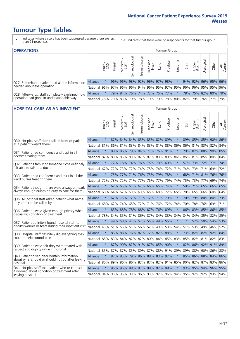- \* Indicates where a score has been suppressed because there are less than 21 responses.
- n.a. Indicates that there were no respondents for that tumour group.

| <b>OPERATIONS</b>                                |                 |               |               |            |                   |                |                             |      | Tumour Group |         |      |                 |                       |                                                       |                |
|--------------------------------------------------|-----------------|---------------|---------------|------------|-------------------|----------------|-----------------------------|------|--------------|---------|------|-----------------|-----------------------|-------------------------------------------------------|----------------|
|                                                  |                 | Brain         | <b>Breast</b> | Colorectal | ত<br>Gynaecologic | Haematological | Head and<br>Neck            | Lung | Prostate     | Sarcoma | Skin | Upper<br>Gastro | $\sigma$<br>Jrologica | Other                                                 | All<br>Cancers |
| Q27. Beforehand, patient had all the information | <b>Alliance</b> |               |               | $96\%$ 96% |                   |                | 98% 92% 96% 97% 98%         |      |              |         | 94%  |                 |                       | 92% 96% 95%                                           | 96%            |
| needed about the operation                       | <b>National</b> |               | 96% 97% 96%   |            |                   |                | 96% 94% 96% 95% 97% 95% 96% |      |              |         |      |                 |                       | 96%   95%   95%   96%                                 |                |
| Q28. Afterwards, staff completely explained how  | <b>Alliance</b> | $\star$       |               | 79% 84%    |                   |                | 76% 74% 72% 75% 77%         |      |              |         |      |                 |                       | 78% 75% 82% 80% 79%                                   |                |
| operation had gone in understandable way         | National        | <u>176% l</u> |               | 79% 83%    |                   |                |                             |      |              |         |      |                 |                       | 79%  78%  79%  79%  78%  80%  82%  79%  76%  77%  79% |                |

#### **HOSPITAL CARE AS AN INPATIENT** Tumour Group

|                                                                                                  |              | Brain   | Breast | $\overline{\phantom{0}}$<br>Colorectal /<br>LGT | Gynaecological | Haematological              | Head and<br>Neck | Lung        | Prostate | Sarcoma | Skin    | Upper<br>Gastro | Urological          | Other   | All<br>Cancers |
|--------------------------------------------------------------------------------------------------|--------------|---------|--------|-------------------------------------------------|----------------|-----------------------------|------------------|-------------|----------|---------|---------|-----------------|---------------------|---------|----------------|
| Q30. Hospital staff didn't talk in front of patient                                              | Alliance     | $\star$ | 87%    |                                                 | 84% 84%        |                             |                  | 85% 85% 82% | 89%      | $\star$ |         |                 | 89% 85% 85% 90% 86% |         |                |
| as if patient wasn't there                                                                       | National     | 81%     | 86%    | 81%                                             | 83%            | 84%                         | 83%              | 81%         | 88%      | 86%     | 86%     | 81%             | 83%                 | 82%     | 84%            |
| Q31. Patient had confidence and trust in all                                                     | Alliance     | $\star$ | 88%    | 86%                                             |                | 79% 84% 77% 76% 91%         |                  |             |          | $\star$ |         |                 | 79% 82% 88% 90% 85% |         |                |
| doctors treating them                                                                            | National     | 82%     |        | 83% 85%                                         |                | 83% 82%                     |                  | 87% 83% 89% |          | 86%     |         |                 | 85% 81% 85%         | 80% 84% |                |
| Q32. Patient's family or someone close definitely                                                | Alliance     | $\star$ | 72%    | 78%                                             | 74%            | 76% 75% 70%                 |                  |             | 69%      | $\star$ |         |                 | 57% 73% 72% 77% 74% |         |                |
| felt able to talk to a doctor                                                                    | National     | 67%     | 72%    | 73%                                             | 72%            | 74%                         |                  | 75% 74%     | 72%      | 71%     | 74%     |                 | 73% 71%             | 69%     | 72%            |
| Q33. Patient had confidence and trust in all the                                                 | Alliance     | $\star$ |        |                                                 |                | 73% 77% 71% 76% 73% 79% 78% |                  |             |          | $\star$ |         |                 | 68% 71% 81% 76% 76% |         |                |
| ward nurses treating them                                                                        | National     | 72%     | 73%    | 72%                                             | 71%            | 77%                         |                  | 75% 77%     | 79%      | 74%     |         |                 | 75% 73% 77%         | 69% 74% |                |
| Q34. Patient thought there were always or nearly                                                 | Alliance     | $\star$ | 62%    | 65%                                             | 57%            | 62%                         | 66%              | 65%         | 74%      | $\star$ | 59%     | 71%             | 65%                 | 66%     | 65%            |
| always enough nurses on duty to care for them                                                    | National     | 68%     | 64%    | 62%                                             | 63%            | 63%                         |                  | 65% 68%     | 72%      | 65%     | 70%     | 65%             | 66%                 | 60% 64% |                |
| Q35. All hospital staff asked patient what name                                                  | Alliance     | $\star$ | 62%    |                                                 |                | 75% 72% 71% 72% 71% 79%     |                  |             |          | $\star$ |         |                 | 70% 79% 80% 80% 73% |         |                |
| they prefer to be called by                                                                      | National     | 68%     | 62%    | 74%                                             | 65%            | 72%                         |                  | 71% 76%     | 72%      | 74%     | 70%     | 78%             | 76%                 | 69% 71% |                |
| Q36. Patient always given enough privacy when                                                    | Alliance     | $\star$ | 83%    | 88%                                             | 78%            | 88% 87% 76%                 |                  |             | 89%      | $\star$ | 86%     | 83%             | 85% 86% 85%         |         |                |
| discussing condition or treatment                                                                | National     | 78%     | 84%    |                                                 |                | 85% 81% 86% 87% 84%         |                  |             | 88%      | 84%     | 84%     |                 | 84% 85% 82% 85%     |         |                |
| Q37. Patient definitely found hospital staff to                                                  | Alliance     | $\star$ | 49%    |                                                 |                | 58% 47% 57%                 | 55%              | 49%         | 55%      | $\star$ | $\star$ |                 | 52% 50% 54%         |         | 53%            |
| discuss worries or fears during their inpatient visit                                            | National     | 45%     |        |                                                 |                | 51% 55% 51% 56% 52% 49% 53% |                  |             |          | 54%     | 51%     |                 | 53% 49% 46% 52%     |         |                |
| Q38. Hospital staff definitely did everything they                                               | Alliance     | $\star$ |        |                                                 |                | 85% 88% 76% 82% 72% 82%     |                  |             | 88%      | $\star$ |         |                 | 73% 82% 82% 92% 84% |         |                |
| could to help control pain                                                                       | National     | 85%     | 83%    | 84%                                             | 82%            |                             |                  | 82% 80% 84% | 85%      | 83%     | 85%     |                 | 82% 81% 82% 83%     |         |                |
| Q39. Patient always felt they were treated with                                                  | Alliance     | $\star$ | 87%    |                                                 |                | 90% 82% 91% 87% 85%         |                  |             | 90%      | $\star$ | 82%     |                 | 86% 92% 91% 89%     |         |                |
| respect and dignity while in hospital                                                            | National     | 85%     | 87%    | 87%                                             |                | 85% 89% 87% 88% 91%         |                  |             |          | 89%     | 89%     |                 | 88% 90%             | 86% 88% |                |
| Q40. Patient given clear written information<br>about what should or should not do after leaving | Alliance     | $\star$ |        | 87% 85%                                         | 79%            | 86% 88% 83%                 |                  |             | 92%      | $\star$ | 85%     |                 | 86% 88% 84% 86%     |         |                |
| hospital                                                                                         | National     | 80%     | 89%    | 86%                                             | 86%            | 83% 87% 82%                 |                  |             | 91%      | 85%     |         |                 | 90% 82% 87%         | 83% 86% |                |
| Q41. Hospital staff told patient who to contact<br>if worried about condition or treatment after | Alliance     | $\star$ | 96%    |                                                 |                | 96% 88% 97% 98% 92%         |                  |             | 98%      | $\star$ |         |                 | 93% 95% 94% 96% 95% |         |                |
| leaving hospital                                                                                 | National 94% |         |        |                                                 |                | 95% 95% 93% 96% 93% 92% 96% |                  |             |          | 94%     |         |                 | 95% 92% 92% 93% 94% |         |                |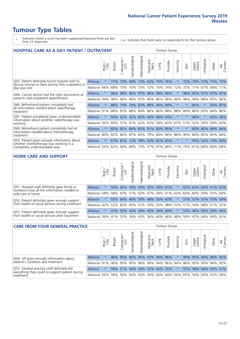- \* Indicates where a score has been suppressed because there are less than 21 responses.
- n.a. Indicates that there were no respondents for that tumour group.

|                                                                                                        | <b>HOSPITAL CARE AS A DAY PATIENT / OUTPATIENT</b> |         |               |                                                     |                 |                |                         | <b>Tumour Group</b> |          |                  |         |                 |            |         |                |
|--------------------------------------------------------------------------------------------------------|----------------------------------------------------|---------|---------------|-----------------------------------------------------|-----------------|----------------|-------------------------|---------------------|----------|------------------|---------|-----------------|------------|---------|----------------|
|                                                                                                        |                                                    | Brain   | <b>Breast</b> | $\overline{\phantom{0}}$<br>olorectal /<br>LGT<br>Ũ | Gynaecological  | Haematological | ead and<br>Neck<br>Head | Lung                | Prostate | arcoma<br>$\sim$ | Skin    | Upper<br>Gastro | Urological | Other   | All<br>Cancers |
| Q43. Patient definitely found hospital staff to<br>discuss worries or fears during their outpatient or | Alliance                                           | $\star$ | 71%           | 72%                                                 | 69%             | 73%            | 63%                     | 74%                 | 76%      | $\star$          | 72%     | 79%             | 72%        | 75%     | 73%            |
| day case visit                                                                                         | National                                           | 66%     | 68%           | 73%                                                 | 70%             | 73%            | 72%                     | 70%                 | 74%      | 72%              | 72%     | 71%             |            | 67% 68% | 71%            |
| Q44. Cancer doctor had the right documents at                                                          | Alliance                                           | $\star$ | 96%           | 98%                                                 | 96%             |                |                         | 97% 96% 98% 96%     |          | $\star$          | 98%     | 95%             | 97%        | 97%     | 97%            |
| patient's last outpatient appointment                                                                  | National                                           | 94%     | 96%           | 96%                                                 | 96%             | 97%            |                         | 96% 96%             | 96%      | 96%              | 96%     | 94%             | 96%        | 95%     | 96%            |
| Q46. Beforehand patient completely had<br>all information needed about radiotherapy                    | Alliance                                           | $\star$ | 88%           | 79%                                                 |                 |                |                         | 79% 87% 89% 94% 84% |          | $\star$          | $\star$ | 85%             | $\star$    |         | 93% 87%        |
| treatment                                                                                              | National                                           | 91%     | 88%           | 83%                                                 |                 |                |                         | 88% 84% 86% 86% 88% |          | 88%              | 84%     | 86%             | 83%        | 84%     | 86%            |
| Q47. Patient completely given understandable                                                           | Alliance                                           | $\star$ | 60%           |                                                     | 52% 35% 62% 69% |                |                         | 58%                 | 54%      | $\star$          | $\star$ | 48%             | $\star$    | 63%     | 58%            |
| information about whether radiotherapy was<br>working                                                  | National                                           | 56%     | 60%           | 57%                                                 | 61%             | 62%            | 63%                     | 59%                 | 60%      | 67%              | 57%     | 52%             | 59%        | 59%     | 60%            |
| Q49. Beforehand patient completely had all                                                             | Alliance                                           | $\star$ | 82%           | 82%                                                 |                 |                |                         | 84% 85% 81% 83% 85% |          | $\ast$           | $\star$ | 83%             | 82%        | 88% 84% |                |
| information needed about chemotherapy<br>treatment                                                     | National                                           | 80%     | 82%           | 86%                                                 | 87%             | 85%            | 79%                     | 84% 86%             |          | 86%              | 90%     | 84%             | 85%        | 85% 84% |                |
| Q50. Patient given enough information about                                                            | Alliance                                           | $\star$ | 67%           | 65%                                                 | 72%             |                |                         | 78% 63% 62% 65%     |          | $\star$          |         | 59%             | 54%        | 73%     | 69%            |
| whether chemotherapy was working in a<br>completely understandable way                                 | National                                           | 54%     | 62%           | 64%                                                 | 68%             | 75%            |                         | 57% 67% 66%         |          | 71%              | 79%     | 61%             |            | 68% 69% | 68%            |
| <b>UOME CABE AND CUBBOBT</b>                                                                           |                                                    |         |               |                                                     |                 |                |                         |                     | $T_{i}$  |                  |         |                 |            |         |                |

| <b>HOME CARE AND SUPPORT</b>                                                                 |          |          |               |                             |                    |                |                        |                                               | Tumour Group |         |      |                 |            |                     |                |
|----------------------------------------------------------------------------------------------|----------|----------|---------------|-----------------------------|--------------------|----------------|------------------------|-----------------------------------------------|--------------|---------|------|-----------------|------------|---------------------|----------------|
|                                                                                              |          | Brain    | <b>Breast</b> | olorectal.<br>LGT<br>$\cup$ | ᠊ᢛ<br>Gynaecologic | Haematological | ad and<br>Neck<br>Head | Lung                                          | Prostate     | Sarcoma | Skin | Upper<br>Gastro | Urological | Other               | All<br>Cancers |
| Q51. Hospital staff definitely gave family or<br>someone close all the information needed to | Alliance | $\star$  | 59%           | 66%                         | 59%                |                |                        | 65% 52% 59% 61%                               |              |         |      |                 |            | 62% 63% 64% 61% 62% |                |
| help care at home                                                                            | National | 58%      |               | 58% 63%                     | 57%                | 62%            | 67%                    |                                               | 59% 61%      | 62%     | 65%  | 60%             | 59%        | 55%                 | 60%            |
| Q52. Patient definitely given enough support                                                 | Alliance | $\star$  | 53%           | 64%                         | 48%                |                | 59% 48%                |                                               | 50% 43%      |         | 57%  | $57\%$          |            | 51% 53%             | 54%            |
| from health or social services during treatment                                              | National | 42%      | 52%           |                             |                    |                |                        | 60%   45%   51%   59%   50%   48%   53%   57% |              |         |      |                 |            | 54% 48% 51%         | 52%            |
| Q53. Patient definitely given enough support                                                 | Alliance | $\star$  |               |                             |                    |                |                        | 41% 55% 43% 49% 43% 39% 40%                   |              |         |      | 52% 46%         |            | 50% 50%             | 46%            |
| from health or social services after treatment                                               | National | $ 39\% $ |               | 41% 53%                     |                    | 39% 43%        | 56%                    | 40% 46%                                       |              | 48%     | 59%  | 47%             | 44%        | 44%                 | 45%            |

| <b>CARE FROM YOUR GENERAL PRACTICE</b><br><b>Tumour Group</b>                                 |              |         |               |                             |                   |                |                  |      |                                 |         |         |                     |           |                 |                |
|-----------------------------------------------------------------------------------------------|--------------|---------|---------------|-----------------------------|-------------------|----------------|------------------|------|---------------------------------|---------|---------|---------------------|-----------|-----------------|----------------|
|                                                                                               |              | Brain   | <b>Breast</b> | Colorectal<br>LGT           | ᢛ<br>Gynaecologic | Haematological | Head and<br>Neck | Lung | Prostate                        | Sarcoma | Skin    | Upper<br>Gastro     | Jrologica | Other           | All<br>Cancers |
| Q54. GP given enough information about                                                        | Alliance     | $\star$ |               | 96% 95% 95% 95% 93% 94% 96% |                   |                |                  |      |                                 |         |         | 99% 95% 94% 96% 95% |           |                 |                |
| patient's condition and treatment                                                             | National 91% |         |               |                             |                   |                |                  |      | 96% 95% 95% 96% 94% 94% 96% 94% |         |         | 96% 93% 95% 94% 95% |           |                 |                |
| Q55. General practice staff definitely did<br>everything they could to support patient during | Alliance     |         |               | 58% 57%                     |                   |                |                  |      | 54% 50% 52% 54% 70%             |         |         | 55% 58% 64% 55% 57% |           |                 |                |
| treatment                                                                                     | National     | 55%     |               | 58% 59%                     |                   |                |                  |      | 56% 56% 59% 56% 64%             |         | 56% 65% |                     |           | 59% 59% 55% 58% |                |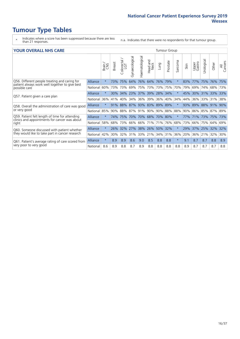- \* Indicates where a score has been suppressed because there are less than 21 responses.
- n.a. Indicates that there were no respondents for that tumour group.

#### **YOUR OVERALL NHS CARE** THE TWO CONTROLLER THE THE THROUP CHANGE THE TUMOUR GROUP

| I YYIN YYEIVAEE INI IY YANNE                                                                    |          |              |               |                       |                     |                |                                 |         |          |                      |      |                 |               |                 |                |
|-------------------------------------------------------------------------------------------------|----------|--------------|---------------|-----------------------|---------------------|----------------|---------------------------------|---------|----------|----------------------|------|-----------------|---------------|-----------------|----------------|
|                                                                                                 |          | Brain<br>CNS | <b>Breast</b> | olorectal<br>LGT<br>Ū | Gynaecological      | Haematological | <b>Bad and<br/>Neck</b><br>Head | Lung    | Prostate | arcoma<br>$\sqrt{ }$ | Skin | Upper<br>Gastro | ె<br>Urologia | Other           | All<br>Cancers |
| Q56. Different people treating and caring for                                                   | Alliance | $\star$      | 73%           | 75%                   | 64%                 | 76%            | 64%                             | 76%     | 79%      | $\star$              | 83%  | 77%             | 75%           | 76%             | 75%            |
| patient always work well together to give best<br>possible care                                 | National | 60%          | 73%           | 73%                   | 69%                 |                | 75% 73%                         | 73% 75% |          | 70%                  | 79%  | 69%             | 74%           | 68%             | 73%            |
| Q57. Patient given a care plan                                                                  | Alliance | $\star$      | 30%           | 34%                   | 23% 37% 39% 28% 34% |                |                                 |         |          | $\ast$               | 45%  |                 |               | 30% 31% 33% 33% |                |
|                                                                                                 | National | 36%          | 41%           | 40%                   | 34%                 | $36\%$         | 39%                             | 36%     | 40%      | 34%                  | 44%  | 36%             | 33%           | 31%             | 38%            |
| Q58. Overall the administration of care was good                                                | Alliance | $\star$      | 91%           | 88%                   |                     | 87% 93% 83%    |                                 | 89% 89% |          | $\star$              | 93%  | 89%             | 88%           | 91%             | 90%            |
| or very good                                                                                    | National | 85%          | 90%           | 88%                   | 87%                 | 91% 90%        |                                 | 90% 88% |          | 88%                  | 90%  |                 |               | 86% 85% 87%     | 89%            |
| Q59. Patient felt length of time for attending<br>clinics and appointments for cancer was about | Alliance | $\star$      | 74%           | 75%                   | 70%                 | 70% 68%        |                                 | 70% 80% |          | $\star$              |      | 77% 71%         | 73%           | 75%             | 73%            |
| right                                                                                           | National | 58%          | 68%           | 73%                   | 66%                 | 66%            | 171%                            | 71%     | 76%      | 68%                  | 73%  | 66%             | 75%           | 64%             | 69%            |
| Q60. Someone discussed with patient whether                                                     | Alliance | $\star$      | 26%           | 32%                   | 27%                 | 38%            | 26%                             | 50% 32% |          | $\star$              | 29%  | 37%             | 25%           | 32%             | 32%            |
| they would like to take part in cancer research                                                 | National | 42%          | 30%           | 32%                   | 31%                 |                | 33% 21%                         | 34%     | 31%      | 36%                  | 20%  | 36%             | 21%           | 32%             | 30%            |
| Q61. Patient's average rating of care scored from                                               | Alliance | $\star$      | 8.9           | 8.9                   | 8.6                 | 9.0            | 8.5                             | 8.8     | 8.8      | $\star$              | 9.1  | 8.7             | 8.7           | 8.8             | 8.9            |
| very poor to very good                                                                          | National | 8.6          | 8.9           | 8.8                   | 8.7                 | 8.9            | 8.8                             | 8.8     | 8.8      | 8.8                  | 8.9  | 8.7             | 8.7           | 8.7             | 8.8            |
|                                                                                                 |          |              |               |                       |                     |                |                                 |         |          |                      |      |                 |               |                 |                |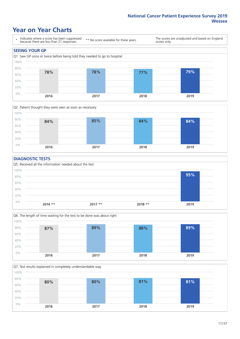### **Year on Year Charts**





#### **DIAGNOSTIC TESTS**





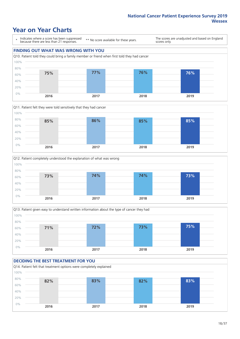### **Year on Year Charts**

\* Indicates where a score has been suppressed because there are less than 21 responses.

\*\* No score available for these years.

The scores are unadjusted and based on England scores only.

#### **FINDING OUT WHAT WAS WRONG WITH YOU**









#### **DECIDING THE BEST TREATMENT FOR YOU**

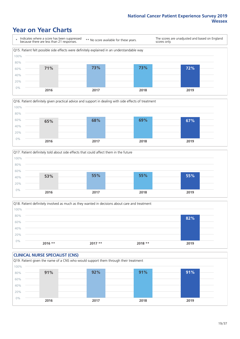### **Year on Year Charts**









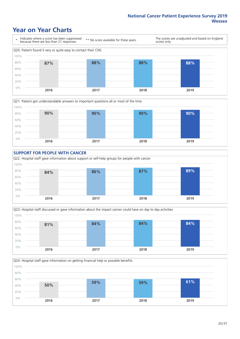### **Year on Year Charts**









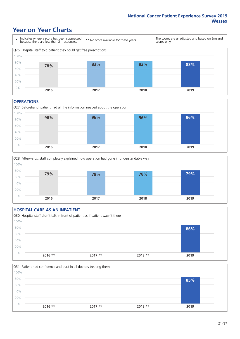### **Year on Year Charts**



#### **OPERATIONS**





|       | <b>HOSPITAL CARE AS AN INPATIENT</b> |                                                                                |          |      |  |
|-------|--------------------------------------|--------------------------------------------------------------------------------|----------|------|--|
|       |                                      | Q30. Hospital staff didn't talk in front of patient as if patient wasn't there |          |      |  |
| 100%  |                                      |                                                                                |          |      |  |
| 80%   |                                      |                                                                                |          | 86%  |  |
| 60%   |                                      |                                                                                |          |      |  |
| 40%   |                                      |                                                                                |          |      |  |
| 20%   |                                      |                                                                                |          |      |  |
| $0\%$ |                                      |                                                                                |          |      |  |
|       | $2016$ **                            | $2017**$                                                                       | $2018**$ | 2019 |  |

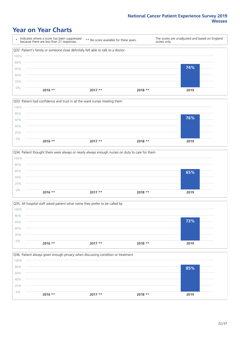### **Year on Year Charts**

|      | Indicates where a score has been suppressed<br>because there are less than 21 responses. | ** No score available for these years. | scores only. | The scores are unadjusted and based on England |
|------|------------------------------------------------------------------------------------------|----------------------------------------|--------------|------------------------------------------------|
|      | Q32. Patient's family or someone close definitely felt able to talk to a doctor          |                                        |              |                                                |
| 100% |                                                                                          |                                        |              |                                                |
| 80%  |                                                                                          |                                        |              |                                                |
| 60%  |                                                                                          |                                        |              | 74%                                            |
| 40%  |                                                                                          |                                        |              |                                                |
| 20%  |                                                                                          |                                        |              |                                                |
| 0%   | $2016$ **                                                                                | $2017**$                               | $2018**$     | 2019                                           |



|       |           | Q34. Patient thought there were always or nearly always enough nurses on duty to care for them |          |      |
|-------|-----------|------------------------------------------------------------------------------------------------|----------|------|
| 100%  |           |                                                                                                |          |      |
| 80%   |           |                                                                                                |          |      |
| 60%   |           |                                                                                                |          | 65%  |
| 40%   |           |                                                                                                |          |      |
| 20%   |           |                                                                                                |          |      |
| $0\%$ | $2016$ ** | $2017**$                                                                                       | $2018**$ | 2019 |
|       |           |                                                                                                |          |      |



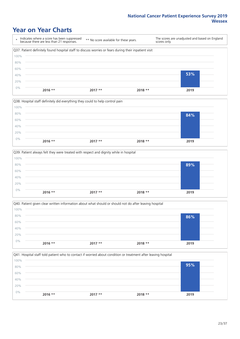### **Year on Year Charts**

| ÷    | Indicates where a score has been suppressed<br>because there are less than 21 responses.              | ** No score available for these years. | scores only. | The scores are unadjusted and based on England |  |
|------|-------------------------------------------------------------------------------------------------------|----------------------------------------|--------------|------------------------------------------------|--|
|      | Q37. Patient definitely found hospital staff to discuss worries or fears during their inpatient visit |                                        |              |                                                |  |
| 100% |                                                                                                       |                                        |              |                                                |  |
| 80%  |                                                                                                       |                                        |              |                                                |  |
| 60%  |                                                                                                       |                                        |              |                                                |  |
| 40%  |                                                                                                       |                                        |              | 53%                                            |  |
| 20%  |                                                                                                       |                                        |              |                                                |  |
| 0%   |                                                                                                       |                                        |              |                                                |  |
|      | $2016$ **                                                                                             | $2017**$                               | $2018**$     | 2019                                           |  |



|       |           | Q39. Patient always felt they were treated with respect and dignity while in hospital |          |      |
|-------|-----------|---------------------------------------------------------------------------------------|----------|------|
| 100%  |           |                                                                                       |          |      |
| 80%   |           |                                                                                       |          | 89%  |
| 60%   |           |                                                                                       |          |      |
| 40%   |           |                                                                                       |          |      |
| 20%   |           |                                                                                       |          |      |
| $0\%$ | $2016$ ** | $2017**$                                                                              | $2018**$ | 2019 |
|       |           |                                                                                       |          |      |

|       |           | Q40. Patient given clear written information about what should or should not do after leaving hospital |          |      |  |
|-------|-----------|--------------------------------------------------------------------------------------------------------|----------|------|--|
| 100%  |           |                                                                                                        |          |      |  |
| 80%   |           |                                                                                                        |          | 86%  |  |
| 60%   |           |                                                                                                        |          |      |  |
| 40%   |           |                                                                                                        |          |      |  |
| 20%   |           |                                                                                                        |          |      |  |
| $0\%$ |           |                                                                                                        |          |      |  |
|       | $2016$ ** | $2017**$                                                                                               | $2018**$ | 2019 |  |

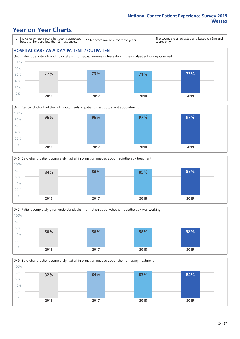### **Year on Year Charts**

\* Indicates where a score has been suppressed because there are less than 21 responses.

\*\* No score available for these years.

The scores are unadjusted and based on England scores only.

#### **HOSPITAL CARE AS A DAY PATIENT / OUTPATIENT**









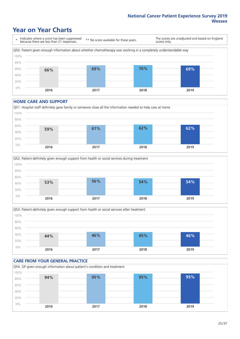### **Year on Year Charts**



#### **HOME CARE AND SUPPORT**







### **CARE FROM YOUR GENERAL PRACTICE** Q54. GP given enough information about patient's condition and treatment 0% 20% 40% 60% 80% 100% **2016 2017 2018 2019 94% 95% 95% 95%**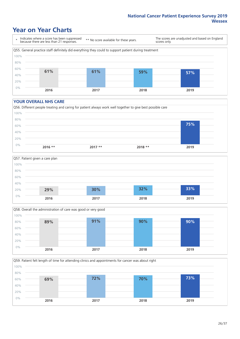### **Year on Year Charts**

\* Indicates where a score has been suppressed because there are less than 21 responses.

\*\* No score available for these years.

The scores are unadjusted and based on England scores only.



#### **YOUR OVERALL NHS CARE**







Q59. Patient felt length of time for attending clinics and appointments for cancer was about right 0% 20% 40% 60% 80% 100% **2016 2017 2018 2019 69% 72% 70% 73%**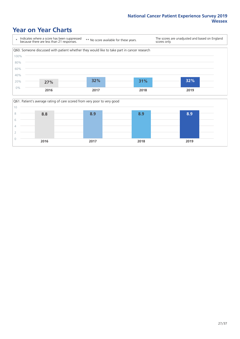### **Year on Year Charts**



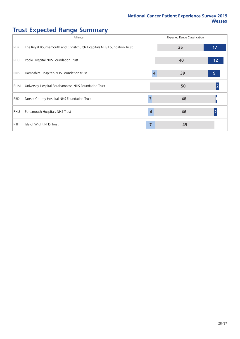## **Trust Expected Range Summary**

|                  | Alliance                                                              |                         | Expected Range Classification |                         |
|------------------|-----------------------------------------------------------------------|-------------------------|-------------------------------|-------------------------|
| RDZ              | The Royal Bournemouth and Christchurch Hospitals NHS Foundation Trust |                         | 35                            | 17                      |
| RD3              | Poole Hospital NHS Foundation Trust                                   |                         | 40                            | 12                      |
| RN5              | Hampshire Hospitals NHS Foundation trust                              | 4                       | 39                            | 9                       |
| RHM              | University Hospital Southampton NHS Foundation Trust                  |                         | 50                            |                         |
| RBD              | Dorset County Hospital NHS Foundation Trust                           | $\overline{\mathbf{3}}$ | 48                            |                         |
| <b>RHU</b>       | Portsmouth Hospitals NHS Trust                                        | 4                       | 46                            | $\overline{\mathbf{2}}$ |
| R <sub>1</sub> F | Isle of Wight NHS Trust                                               | 7                       | 45                            |                         |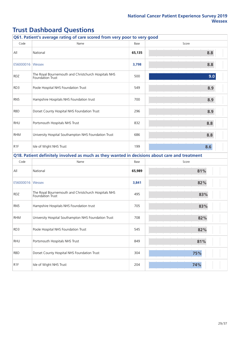|                  | Q61. Patient's average rating of care scored from very poor to very good                      |        |       |  |  |  |  |  |  |  |
|------------------|-----------------------------------------------------------------------------------------------|--------|-------|--|--|--|--|--|--|--|
| Code             | Name                                                                                          | Base   | Score |  |  |  |  |  |  |  |
| All              | National                                                                                      | 65,135 | 8.8   |  |  |  |  |  |  |  |
| E56000016        | Wessex                                                                                        | 3,798  | 8.8   |  |  |  |  |  |  |  |
| <b>RDZ</b>       | The Royal Bournemouth and Christchurch Hospitals NHS<br>Foundation Trust                      | 500    | 9.0   |  |  |  |  |  |  |  |
| RD3              | Poole Hospital NHS Foundation Trust                                                           | 549    | 8.9   |  |  |  |  |  |  |  |
| RN <sub>5</sub>  | Hampshire Hospitals NHS Foundation trust                                                      | 700    | 8.9   |  |  |  |  |  |  |  |
| <b>RBD</b>       | Dorset County Hospital NHS Foundation Trust                                                   | 296    | 8.9   |  |  |  |  |  |  |  |
| <b>RHU</b>       | Portsmouth Hospitals NHS Trust                                                                | 832    | 8.8   |  |  |  |  |  |  |  |
| <b>RHM</b>       | University Hospital Southampton NHS Foundation Trust                                          | 686    | 8.8   |  |  |  |  |  |  |  |
| R <sub>1</sub> F | Isle of Wight NHS Trust                                                                       | 199    | 8.6   |  |  |  |  |  |  |  |
|                  | Q18. Patient definitely involved as much as they wanted in decisions about care and treatment |        |       |  |  |  |  |  |  |  |
| Code             | Name                                                                                          | Base   | Score |  |  |  |  |  |  |  |
| All              | National                                                                                      | 65,989 | 81%   |  |  |  |  |  |  |  |
| E56000016        | Wessex                                                                                        | 3,841  | 82%   |  |  |  |  |  |  |  |
| <b>RDZ</b>       | The Royal Bournemouth and Christchurch Hospitals NHS<br>Foundation Trust                      | 495    | 83%   |  |  |  |  |  |  |  |
| RN <sub>5</sub>  | Hampshire Hospitals NHS Foundation trust                                                      | 705    | 83%   |  |  |  |  |  |  |  |
| <b>RHM</b>       | University Hospital Southampton NHS Foundation Trust                                          | 708    | 82%   |  |  |  |  |  |  |  |
| RD3              | Poole Hospital NHS Foundation Trust                                                           | 545    | 82%   |  |  |  |  |  |  |  |
| <b>RHU</b>       | Portsmouth Hospitals NHS Trust                                                                | 849    | 81%   |  |  |  |  |  |  |  |
| <b>RBD</b>       | Dorset County Hospital NHS Foundation Trust                                                   | 304    | 75%   |  |  |  |  |  |  |  |
| R <sub>1F</sub>  | Isle of Wight NHS Trust                                                                       | 204    | 74%   |  |  |  |  |  |  |  |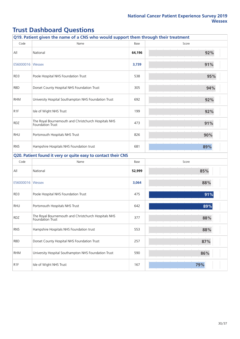| Q19. Patient given the name of a CNS who would support them through their treatment |                                                                          |        |       |
|-------------------------------------------------------------------------------------|--------------------------------------------------------------------------|--------|-------|
| Code                                                                                | Name                                                                     | Base   | Score |
| All                                                                                 | National                                                                 | 64,196 | 92%   |
| E56000016   Wessex                                                                  |                                                                          | 3,739  | 91%   |
| RD3                                                                                 | Poole Hospital NHS Foundation Trust                                      | 538    | 95%   |
| <b>RBD</b>                                                                          | Dorset County Hospital NHS Foundation Trust                              | 305    | 94%   |
| <b>RHM</b>                                                                          | University Hospital Southampton NHS Foundation Trust                     | 692    | 92%   |
| R <sub>1</sub> F                                                                    | Isle of Wight NHS Trust                                                  | 199    | 92%   |
| <b>RDZ</b>                                                                          | The Royal Bournemouth and Christchurch Hospitals NHS<br>Foundation Trust | 473    | 91%   |
| <b>RHU</b>                                                                          | Portsmouth Hospitals NHS Trust                                           | 826    | 90%   |
| RN <sub>5</sub>                                                                     | Hampshire Hospitals NHS Foundation trust                                 | 681    | 89%   |
|                                                                                     | Q20. Patient found it very or quite easy to contact their CNS            |        |       |
| Code                                                                                | Name                                                                     | Base   | Score |
| All                                                                                 | National                                                                 | 52,999 | 85%   |
| E56000016   Wessex                                                                  |                                                                          | 3,064  | 88%   |
| RD3                                                                                 | Poole Hospital NHS Foundation Trust                                      | 475    | 91%   |
| <b>RHU</b>                                                                          | Portsmouth Hospitals NHS Trust                                           | 642    | 89%   |
| RDZ                                                                                 | The Royal Bournemouth and Christchurch Hospitals NHS<br>Foundation Trust | 377    | 88%   |
| RN <sub>5</sub>                                                                     | Hampshire Hospitals NHS Foundation trust                                 | 553    | 88%   |
| <b>RBD</b>                                                                          | Dorset County Hospital NHS Foundation Trust                              | 257    | 87%   |
| <b>RHM</b>                                                                          | University Hospital Southampton NHS Foundation Trust                     | 590    | 86%   |
| R <sub>1F</sub>                                                                     | Isle of Wight NHS Trust                                                  | 167    | 79%   |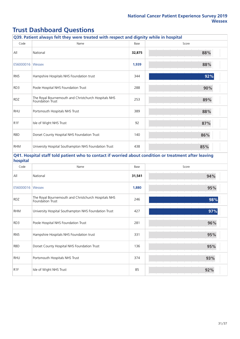| Q39. Patient always felt they were treated with respect and dignity while in hospital |                                                                                                       |        |       |
|---------------------------------------------------------------------------------------|-------------------------------------------------------------------------------------------------------|--------|-------|
| Code                                                                                  | Name                                                                                                  | Base   | Score |
| All                                                                                   | National                                                                                              | 32,875 | 88%   |
| E56000016   Wessex                                                                    |                                                                                                       | 1,939  | 88%   |
| RN <sub>5</sub>                                                                       | Hampshire Hospitals NHS Foundation trust                                                              | 344    | 92%   |
| RD3                                                                                   | Poole Hospital NHS Foundation Trust                                                                   | 288    | 90%   |
| <b>RDZ</b>                                                                            | The Royal Bournemouth and Christchurch Hospitals NHS<br>Foundation Trust                              | 253    | 89%   |
| <b>RHU</b>                                                                            | Portsmouth Hospitals NHS Trust                                                                        | 389    | 88%   |
| R <sub>1</sub> F                                                                      | Isle of Wight NHS Trust                                                                               | 92     | 87%   |
| <b>RBD</b>                                                                            | Dorset County Hospital NHS Foundation Trust                                                           | 140    | 86%   |
| <b>RHM</b>                                                                            | University Hospital Southampton NHS Foundation Trust                                                  | 438    | 85%   |
| hospital                                                                              | Q41. Hospital staff told patient who to contact if worried about condition or treatment after leaving |        |       |
| Code                                                                                  | Name                                                                                                  | Base   | Score |
| All                                                                                   | National                                                                                              | 31,541 | 94%   |
| E56000016                                                                             | Wessex                                                                                                | 1,880  | 95%   |
| <b>RDZ</b>                                                                            | The Royal Bournemouth and Christchurch Hospitals NHS<br>Foundation Trust                              | 246    | 98%   |
| <b>RHM</b>                                                                            | University Hospital Southampton NHS Foundation Trust                                                  | 427    | 97%   |
| RD3                                                                                   | Poole Hospital NHS Foundation Trust                                                                   | 281    | 96%   |
| RN <sub>5</sub>                                                                       | Hampshire Hospitals NHS Foundation trust                                                              | 331    | 95%   |
| <b>RBD</b>                                                                            | Dorset County Hospital NHS Foundation Trust                                                           | 136    | 95%   |
| <b>RHU</b>                                                                            | Portsmouth Hospitals NHS Trust                                                                        | 374    | 93%   |
| R <sub>1</sub> F                                                                      | Isle of Wight NHS Trust                                                                               | 85     | 92%   |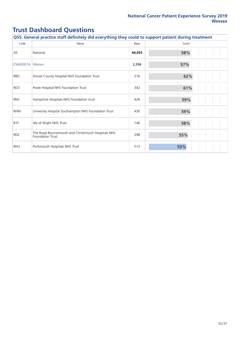| Q55. General practice staff definitely did everything they could to support patient during treatment |                                                                          |        |       |
|------------------------------------------------------------------------------------------------------|--------------------------------------------------------------------------|--------|-------|
| Code                                                                                                 | Name                                                                     | Base   | Score |
| All                                                                                                  | National                                                                 | 44,055 | 58%   |
| E56000016                                                                                            | <b>Wessex</b>                                                            | 2,396  | 57%   |
| <b>RBD</b>                                                                                           | Dorset County Hospital NHS Foundation Trust                              | 216    | 62%   |
| RD3                                                                                                  | Poole Hospital NHS Foundation Trust                                      | 342    | 61%   |
| RN <sub>5</sub>                                                                                      | Hampshire Hospitals NHS Foundation trust                                 | 426    | 59%   |
| <b>RHM</b>                                                                                           | University Hospital Southampton NHS Foundation Trust                     | 430    | 59%   |
| R <sub>1</sub> F                                                                                     | Isle of Wight NHS Trust                                                  | 146    | 58%   |
| <b>RDZ</b>                                                                                           | The Royal Bournemouth and Christchurch Hospitals NHS<br>Foundation Trust | 298    | 55%   |
| <b>RHU</b>                                                                                           | Portsmouth Hospitals NHS Trust                                           | 513    | 53%   |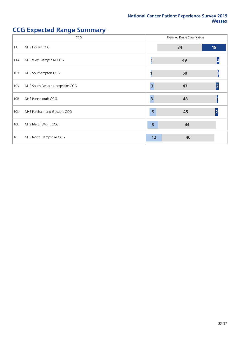# **CCG** Expected Range Classification 11J NHS Dorset CCG **34 18** 11A NHS West Hampshire CCG **1 49 2** 10X NHS Southampton CCG **1 50 1** 10V NHS South Eastern Hampshire CCG **3 47 2** 10R NHS Portsmouth CCG **3 48 1** 10K NHS Fareham and Gosport CCG **100 and Automobile 10 and Automobile 10 and Automobile 10 and Automobile 10 and Automobile 10 and Automobile 10 and Automobile 10 and Automobile 10 and Automobile 10 and Automobile 10 and A** 10L NHS Isle of Wight CCG **8 44** 10J NHS North Hampshire CCG **12 12 12 40**

### **CCG Expected Range Summary**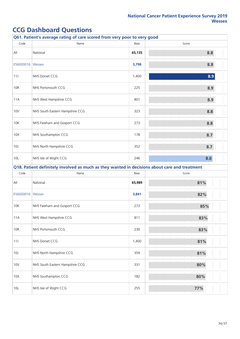|                    | Q61. Patient's average rating of care scored from very poor to very good                      |        |       |
|--------------------|-----------------------------------------------------------------------------------------------|--------|-------|
| Code               | Name                                                                                          | Base   | Score |
| All                | National                                                                                      | 65,135 | 8.8   |
| E56000016   Wessex |                                                                                               | 3,798  | 8.8   |
| 11J                | NHS Dorset CCG                                                                                | 1,400  | 8.9   |
| <b>10R</b>         | NHS Portsmouth CCG                                                                            | 225    | 8.9   |
| 11A                | NHS West Hampshire CCG                                                                        | 801    | 8.9   |
| 10 <sub>V</sub>    | NHS South Eastern Hampshire CCG                                                               | 323    | 8.8   |
| 10K                | NHS Fareham and Gosport CCG                                                                   | 273    | 8.8   |
| 10X                | NHS Southampton CCG                                                                           | 178    | 8.7   |
| 10J                | NHS North Hampshire CCG                                                                       | 352    | 8.7   |
| 10L                | NHS Isle of Wight CCG                                                                         | 246    | 8.6   |
|                    | Q18. Patient definitely involved as much as they wanted in decisions about care and treatment |        |       |
| Code               | Name                                                                                          | Base   | Score |
| $\mathsf{All}$     | National                                                                                      | 65,989 | 81%   |
| E56000016   Wessex |                                                                                               | 3,841  | 82%   |
| 10K                | NHS Fareham and Gosport CCG                                                                   | 273    | 85%   |
| 11A                | NHS West Hampshire CCG                                                                        | 811    | 83%   |
| <b>10R</b>         | NHS Portsmouth CCG                                                                            | 230    | 83%   |
| 11J                | NHS Dorset CCG                                                                                | 1,400  | 81%   |
| 10J                | NHS North Hampshire CCG                                                                       | 359    | 81%   |
| <b>10V</b>         | NHS South Eastern Hampshire CCG                                                               | 331    | 80%   |
| 10X                | NHS Southampton CCG                                                                           | 182    | 80%   |
| 10L                | NHS Isle of Wight CCG                                                                         | 255    | 77%   |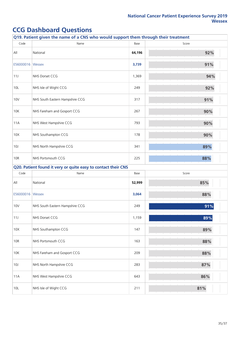| Q19. Patient given the name of a CNS who would support them through their treatment |                                                               |        |       |  |
|-------------------------------------------------------------------------------------|---------------------------------------------------------------|--------|-------|--|
| Code                                                                                | Name                                                          | Base   | Score |  |
| All                                                                                 | National                                                      | 64,196 | 92%   |  |
| E56000016   Wessex                                                                  |                                                               | 3,739  | 91%   |  |
| 11J                                                                                 | NHS Dorset CCG                                                | 1,369  | 94%   |  |
| 10L                                                                                 | NHS Isle of Wight CCG                                         | 249    | 92%   |  |
| 10 <sub>V</sub>                                                                     | NHS South Eastern Hampshire CCG                               | 317    | 91%   |  |
| 10K                                                                                 | NHS Fareham and Gosport CCG                                   | 267    | 90%   |  |
| 11A                                                                                 | NHS West Hampshire CCG                                        | 793    | 90%   |  |
| 10X                                                                                 | NHS Southampton CCG                                           | 178    | 90%   |  |
| 10J                                                                                 | NHS North Hampshire CCG                                       | 341    | 89%   |  |
| <b>10R</b>                                                                          | NHS Portsmouth CCG                                            | 225    | 88%   |  |
|                                                                                     | Q20. Patient found it very or quite easy to contact their CNS |        |       |  |
| Code                                                                                | Name                                                          | Base   | Score |  |
| All                                                                                 | National                                                      | 52,999 | 85%   |  |
| E56000016   Wessex                                                                  |                                                               | 3,064  | 88%   |  |
| 10 <sub>V</sub>                                                                     | NHS South Eastern Hampshire CCG                               | 249    | 91%   |  |
| 11J                                                                                 | NHS Dorset CCG                                                | 1,159  | 89%   |  |
| 10X                                                                                 | NHS Southampton CCG                                           | 147    | 89%   |  |
| <b>10R</b>                                                                          | NHS Portsmouth CCG                                            | 163    | 88%   |  |
| 10K                                                                                 | NHS Fareham and Gosport CCG                                   | 209    | 88%   |  |
| 10J                                                                                 | NHS North Hampshire CCG                                       | 283    | 87%   |  |
| 11A                                                                                 | NHS West Hampshire CCG                                        | 643    | 86%   |  |
| 10L                                                                                 | NHS Isle of Wight CCG                                         | 211    | 81%   |  |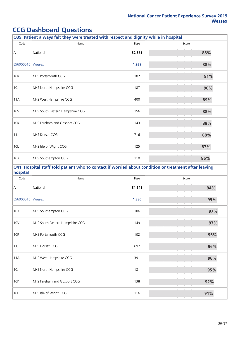|                 | Q39. Patient always felt they were treated with respect and dignity while in hospital                 |        |       |
|-----------------|-------------------------------------------------------------------------------------------------------|--------|-------|
| Code            | Name                                                                                                  | Base   | Score |
| All             | National                                                                                              | 32,875 | 88%   |
| E56000016       | Wessex                                                                                                | 1,939  | 88%   |
| 10R             | NHS Portsmouth CCG                                                                                    | 102    | 91%   |
| 10J             | NHS North Hampshire CCG                                                                               | 187    | 90%   |
| 11A             | NHS West Hampshire CCG                                                                                | 400    | 89%   |
| 10V             | NHS South Eastern Hampshire CCG                                                                       | 156    | 88%   |
| 10K             | NHS Fareham and Gosport CCG                                                                           | 143    | 88%   |
| 11J             | NHS Dorset CCG                                                                                        | 716    | 88%   |
| 10L             | NHS Isle of Wight CCG                                                                                 | 125    | 87%   |
| 10X             | NHS Southampton CCG                                                                                   | 110    | 86%   |
| hospital        | Q41. Hospital staff told patient who to contact if worried about condition or treatment after leaving |        |       |
| Code            | Name                                                                                                  | Base   | Score |
| All             | National                                                                                              | 31,541 | 94%   |
| E56000016       | Wessex                                                                                                | 1,880  | 95%   |
| 10X             | NHS Southampton CCG                                                                                   | 106    | 97%   |
| 10 <sub>V</sub> | NHS South Eastern Hampshire CCG                                                                       | 149    | 97%   |
| <b>10R</b>      | NHS Portsmouth CCG                                                                                    | 102    | 96%   |
| 11J             | NHS Dorset CCG                                                                                        | 697    | 96%   |
| 11A             | NHS West Hampshire CCG                                                                                | 391    | 96%   |
| 10J             | NHS North Hampshire CCG                                                                               | 181    | 95%   |
| 10K             | NHS Fareham and Gosport CCG                                                                           | 138    | 92%   |
| 10L             | NHS Isle of Wight CCG                                                                                 | 116    | 91%   |